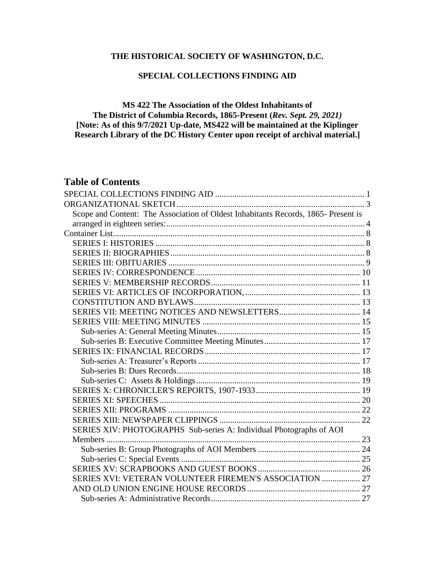# **THE HISTORICAL SOCIETY OF WASHINGTON, D.C.**

## **SPECIAL COLLECTIONS FINDING AID**

## <span id="page-0-0"></span>**MS 422 The Association of the Oldest Inhabitants of The District of Columbia Records, 1865-Present (***Rev. Sept. 29, 2021)* **[Note: As of this 9/7/2021 Up-date, MS422 will be maintained at the Kiplinger Research Library of the DC History Center upon receipt of archival material.]**

# **Table of Contents**

| Scope and Content: The Association of Oldest Inhabitants Records, 1865- Present is |  |
|------------------------------------------------------------------------------------|--|
|                                                                                    |  |
|                                                                                    |  |
|                                                                                    |  |
|                                                                                    |  |
|                                                                                    |  |
|                                                                                    |  |
|                                                                                    |  |
|                                                                                    |  |
|                                                                                    |  |
|                                                                                    |  |
|                                                                                    |  |
|                                                                                    |  |
|                                                                                    |  |
|                                                                                    |  |
|                                                                                    |  |
|                                                                                    |  |
|                                                                                    |  |
|                                                                                    |  |
|                                                                                    |  |
|                                                                                    |  |
|                                                                                    |  |
| SERIES XIV: PHOTOGRAPHS Sub-series A: Individual Photographs of AOI                |  |
|                                                                                    |  |
|                                                                                    |  |
|                                                                                    |  |
|                                                                                    |  |
| SERIES XVI: VETERAN VOLUNTEER FIREMEN'S ASSOCIATION  27                            |  |
|                                                                                    |  |
|                                                                                    |  |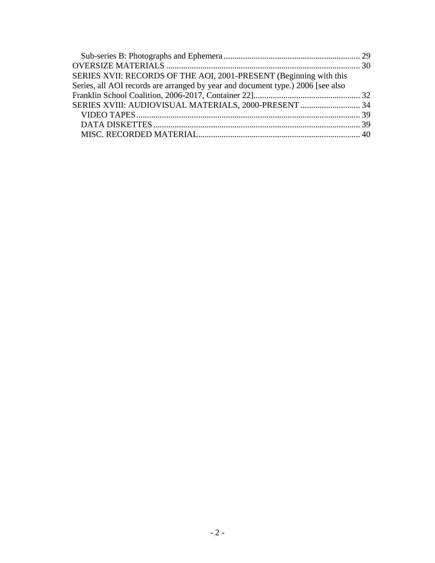| SERIES XVII: RECORDS OF THE AOI, 2001-PRESENT (Beginning with this              |  |
|---------------------------------------------------------------------------------|--|
| Series, all AOI records are arranged by year and document type.) 2006 [see also |  |
|                                                                                 |  |
| SERIES XVIII: AUDIOVISUAL MATERIALS, 2000-PRESENT  34                           |  |
|                                                                                 |  |
|                                                                                 |  |
|                                                                                 |  |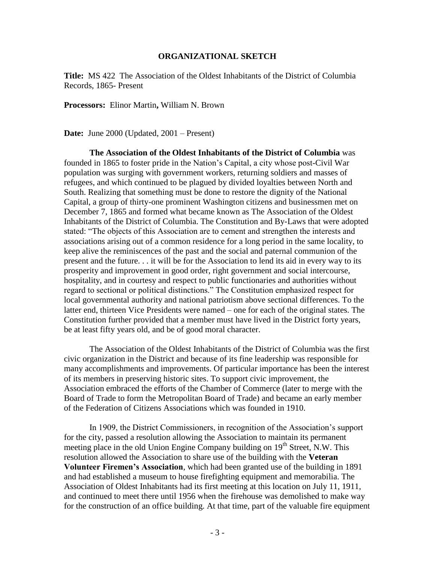#### **ORGANIZATIONAL SKETCH**

<span id="page-2-0"></span>**Title:** MS 422 The Association of the Oldest Inhabitants of the District of Columbia Records, 1865- Present

**Processors:** Elinor Martin**,** William N. Brown

**Date:** June 2000 (Updated, 2001 – Present)

**The Association of the Oldest Inhabitants of the District of Columbia** was founded in 1865 to foster pride in the Nation's Capital, a city whose post-Civil War population was surging with government workers, returning soldiers and masses of refugees, and which continued to be plagued by divided loyalties between North and South. Realizing that something must be done to restore the dignity of the National Capital, a group of thirty-one prominent Washington citizens and businessmen met on December 7, 1865 and formed what became known as The Association of the Oldest Inhabitants of the District of Columbia. The Constitution and By-Laws that were adopted stated: "The objects of this Association are to cement and strengthen the interests and associations arising out of a common residence for a long period in the same locality, to keep alive the reminiscences of the past and the social and paternal communion of the present and the future. . . it will be for the Association to lend its aid in every way to its prosperity and improvement in good order, right government and social intercourse, hospitality, and in courtesy and respect to public functionaries and authorities without regard to sectional or political distinctions." The Constitution emphasized respect for local governmental authority and national patriotism above sectional differences. To the latter end, thirteen Vice Presidents were named – one for each of the original states. The Constitution further provided that a member must have lived in the District forty years, be at least fifty years old, and be of good moral character.

The Association of the Oldest Inhabitants of the District of Columbia was the first civic organization in the District and because of its fine leadership was responsible for many accomplishments and improvements. Of particular importance has been the interest of its members in preserving historic sites. To support civic improvement, the Association embraced the efforts of the Chamber of Commerce (later to merge with the Board of Trade to form the Metropolitan Board of Trade) and became an early member of the Federation of Citizens Associations which was founded in 1910.

In 1909, the District Commissioners, in recognition of the Association's support for the city, passed a resolution allowing the Association to maintain its permanent meeting place in the old Union Engine Company building on 19<sup>th</sup> Street, N.W. This resolution allowed the Association to share use of the building with the **Veteran Volunteer Firemen's Association**, which had been granted use of the building in 1891 and had established a museum to house firefighting equipment and memorabilia. The Association of Oldest Inhabitants had its first meeting at this location on July 11, 1911, and continued to meet there until 1956 when the firehouse was demolished to make way for the construction of an office building. At that time, part of the valuable fire equipment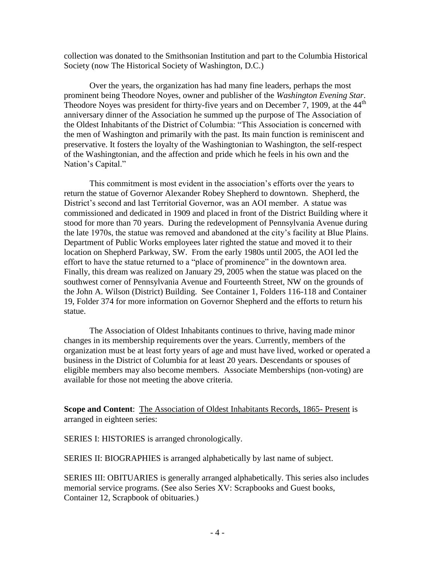collection was donated to the Smithsonian Institution and part to the Columbia Historical Society (now The Historical Society of Washington, D.C.)

Over the years, the organization has had many fine leaders, perhaps the most prominent being Theodore Noyes, owner and publisher of the *Washington Evening Star*. Theodore Noyes was president for thirty-five years and on December 7, 1909, at the  $44<sup>th</sup>$ anniversary dinner of the Association he summed up the purpose of The Association of the Oldest Inhabitants of the District of Columbia: "This Association is concerned with the men of Washington and primarily with the past. Its main function is reminiscent and preservative. It fosters the loyalty of the Washingtonian to Washington, the self-respect of the Washingtonian, and the affection and pride which he feels in his own and the Nation's Capital."

This commitment is most evident in the association's efforts over the years to return the statue of Governor Alexander Robey Shepherd to downtown. Shepherd, the District's second and last Territorial Governor, was an AOI member. A statue was commissioned and dedicated in 1909 and placed in front of the District Building where it stood for more than 70 years. During the redevelopment of Pennsylvania Avenue during the late 1970s, the statue was removed and abandoned at the city's facility at Blue Plains. Department of Public Works employees later righted the statue and moved it to their location on Shepherd Parkway, SW. From the early 1980s until 2005, the AOI led the effort to have the statue returned to a "place of prominence" in the downtown area. Finally, this dream was realized on January 29, 2005 when the statue was placed on the southwest corner of Pennsylvania Avenue and Fourteenth Street, NW on the grounds of the John A. Wilson (District) Building. See Container 1, Folders 116-118 and Container 19, Folder 374 for more information on Governor Shepherd and the efforts to return his statue.

The Association of Oldest Inhabitants continues to thrive, having made minor changes in its membership requirements over the years. Currently, members of the organization must be at least forty years of age and must have lived, worked or operated a business in the District of Columbia for at least 20 years. Descendants or spouses of eligible members may also become members. Associate Memberships (non-voting) are available for those not meeting the above criteria.

<span id="page-3-0"></span>**Scope and Content**: The Association of Oldest Inhabitants Records, 1865- Present is arranged in eighteen series:

SERIES I: HISTORIES is arranged chronologically.

SERIES II: BIOGRAPHIES is arranged alphabetically by last name of subject.

SERIES III: OBITUARIES is generally arranged alphabetically. This series also includes memorial service programs. (See also Series XV: Scrapbooks and Guest books, Container 12, Scrapbook of obituaries.)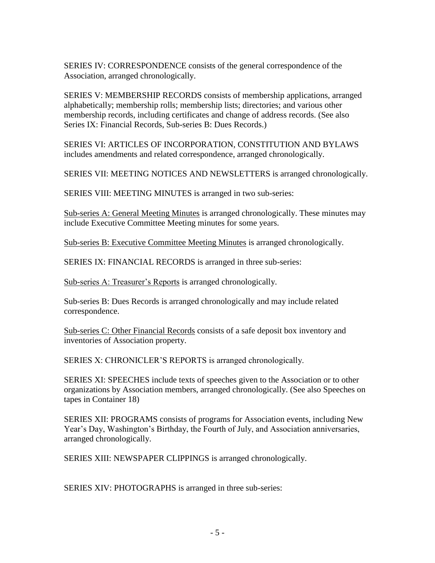SERIES IV: CORRESPONDENCE consists of the general correspondence of the Association, arranged chronologically.

SERIES V: MEMBERSHIP RECORDS consists of membership applications, arranged alphabetically; membership rolls; membership lists; directories; and various other membership records, including certificates and change of address records. (See also Series IX: Financial Records, Sub-series B: Dues Records.)

SERIES VI: ARTICLES OF INCORPORATION, CONSTITUTION AND BYLAWS includes amendments and related correspondence, arranged chronologically.

SERIES VII: MEETING NOTICES AND NEWSLETTERS is arranged chronologically.

SERIES VIII: MEETING MINUTES is arranged in two sub-series:

Sub-series A: General Meeting Minutes is arranged chronologically. These minutes may include Executive Committee Meeting minutes for some years.

Sub-series B: Executive Committee Meeting Minutes is arranged chronologically.

SERIES IX: FINANCIAL RECORDS is arranged in three sub-series:

Sub-series A: Treasurer's Reports is arranged chronologically.

Sub-series B: Dues Records is arranged chronologically and may include related correspondence.

Sub-series C: Other Financial Records consists of a safe deposit box inventory and inventories of Association property.

SERIES X: CHRONICLER'S REPORTS is arranged chronologically.

SERIES XI: SPEECHES include texts of speeches given to the Association or to other organizations by Association members, arranged chronologically. (See also Speeches on tapes in Container 18)

SERIES XII: PROGRAMS consists of programs for Association events, including New Year's Day, Washington's Birthday, the Fourth of July, and Association anniversaries, arranged chronologically.

SERIES XIII: NEWSPAPER CLIPPINGS is arranged chronologically.

SERIES XIV: PHOTOGRAPHS is arranged in three sub-series: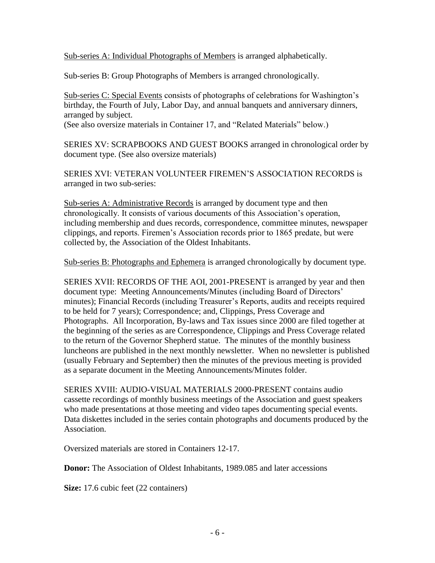Sub-series A: Individual Photographs of Members is arranged alphabetically.

Sub-series B: Group Photographs of Members is arranged chronologically.

Sub-series C: Special Events consists of photographs of celebrations for Washington's birthday, the Fourth of July, Labor Day, and annual banquets and anniversary dinners, arranged by subject.

(See also oversize materials in Container 17, and "Related Materials" below.)

SERIES XV: SCRAPBOOKS AND GUEST BOOKS arranged in chronological order by document type. (See also oversize materials)

SERIES XVI: VETERAN VOLUNTEER FIREMEN'S ASSOCIATION RECORDS is arranged in two sub-series:

Sub-series A: Administrative Records is arranged by document type and then chronologically. It consists of various documents of this Association's operation, including membership and dues records, correspondence, committee minutes, newspaper clippings, and reports. Firemen's Association records prior to 1865 predate, but were collected by, the Association of the Oldest Inhabitants.

Sub-series B: Photographs and Ephemera is arranged chronologically by document type.

SERIES XVII: RECORDS OF THE AOI, 2001-PRESENT is arranged by year and then document type: Meeting Announcements/Minutes (including Board of Directors' minutes); Financial Records (including Treasurer's Reports, audits and receipts required to be held for 7 years); Correspondence; and, Clippings, Press Coverage and Photographs. All Incorporation, By-laws and Tax issues since 2000 are filed together at the beginning of the series as are Correspondence, Clippings and Press Coverage related to the return of the Governor Shepherd statue. The minutes of the monthly business luncheons are published in the next monthly newsletter. When no newsletter is published (usually February and September) then the minutes of the previous meeting is provided as a separate document in the Meeting Announcements/Minutes folder.

SERIES XVIII: AUDIO-VISUAL MATERIALS 2000-PRESENT contains audio cassette recordings of monthly business meetings of the Association and guest speakers who made presentations at those meeting and video tapes documenting special events. Data diskettes included in the series contain photographs and documents produced by the Association.

Oversized materials are stored in Containers 12-17.

**Donor:** The Association of Oldest Inhabitants, 1989.085 and later accessions

**Size:** 17.6 cubic feet (22 containers)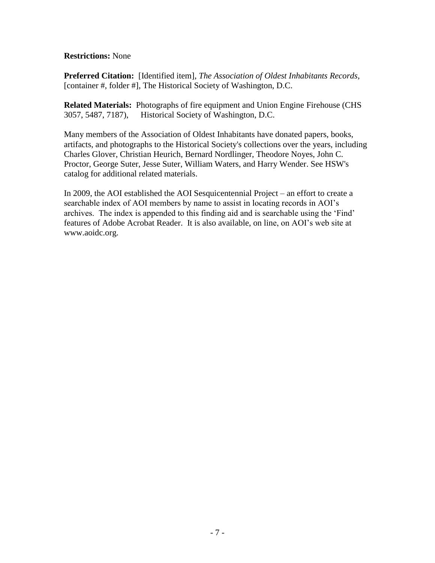### **Restrictions:** None

**Preferred Citation:** [Identified item], *The Association of Oldest Inhabitants Records,*  [container #, folder #], The Historical Society of Washington, D.C.

**Related Materials:** Photographs of fire equipment and Union Engine Firehouse (CHS 3057, 5487, 7187), Historical Society of Washington, D.C.

Many members of the Association of Oldest Inhabitants have donated papers, books, artifacts, and photographs to the Historical Society's collections over the years, including Charles Glover, Christian Heurich, Bernard Nordlinger, Theodore Noyes, John C. Proctor, George Suter, Jesse Suter, William Waters, and Harry Wender. See HSW's catalog for additional related materials.

In 2009, the AOI established the AOI Sesquicentennial Project – an effort to create a searchable index of AOI members by name to assist in locating records in AOI's archives. The index is appended to this finding aid and is searchable using the 'Find' features of Adobe Acrobat Reader. It is also available, on line, on AOI's web site at www.aoidc.org.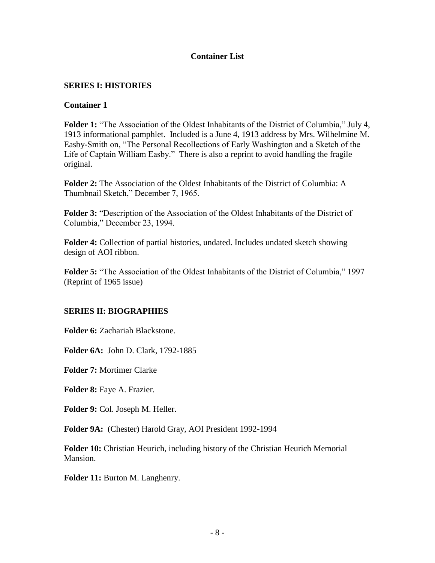## **Container List**

## <span id="page-7-1"></span><span id="page-7-0"></span>**SERIES I: HISTORIES**

### **Container 1**

**Folder 1:** "The Association of the Oldest Inhabitants of the District of Columbia," July 4, 1913 informational pamphlet. Included is a June 4, 1913 address by Mrs. Wilhelmine M. Easby-Smith on, "The Personal Recollections of Early Washington and a Sketch of the Life of Captain William Easby." There is also a reprint to avoid handling the fragile original.

**Folder 2:** The Association of the Oldest Inhabitants of the District of Columbia: A Thumbnail Sketch," December 7, 1965.

**Folder 3:** "Description of the Association of the Oldest Inhabitants of the District of Columbia," December 23, 1994.

**Folder 4:** Collection of partial histories, undated. Includes undated sketch showing design of AOI ribbon.

**Folder 5:** "The Association of the Oldest Inhabitants of the District of Columbia," 1997 (Reprint of 1965 issue)

### <span id="page-7-2"></span>**SERIES II: BIOGRAPHIES**

**Folder 6:** Zachariah Blackstone.

**Folder 6A:** John D. Clark, 1792-1885

**Folder 7:** Mortimer Clarke

**Folder 8:** Faye A. Frazier.

**Folder 9:** Col. Joseph M. Heller.

**Folder 9A:** (Chester) Harold Gray, AOI President 1992-1994

**Folder 10:** Christian Heurich, including history of the Christian Heurich Memorial Mansion.

**Folder 11:** Burton M. Langhenry.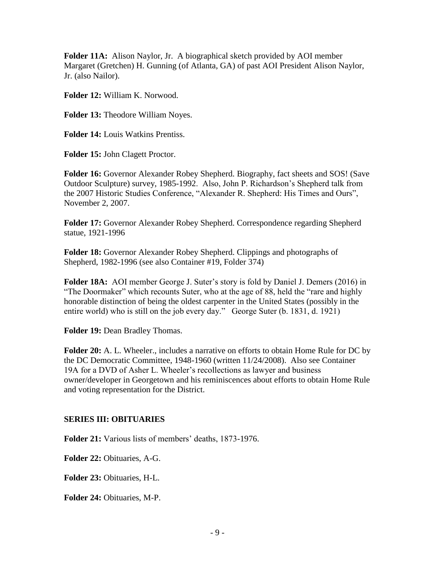**Folder 11A:** Alison Naylor, Jr. A biographical sketch provided by AOI member Margaret (Gretchen) H. Gunning (of Atlanta, GA) of past AOI President Alison Naylor, Jr. (also Nailor).

**Folder 12:** William K. Norwood.

**Folder 13:** Theodore William Noyes.

**Folder 14:** Louis Watkins Prentiss.

**Folder 15:** John Clagett Proctor.

**Folder 16:** Governor Alexander Robey Shepherd. Biography, fact sheets and SOS! (Save Outdoor Sculpture) survey, 1985-1992. Also, John P. Richardson's Shepherd talk from the 2007 Historic Studies Conference, "Alexander R. Shepherd: His Times and Ours", November 2, 2007.

**Folder 17:** Governor Alexander Robey Shepherd. Correspondence regarding Shepherd statue, 1921-1996

**Folder 18:** Governor Alexander Robey Shepherd. Clippings and photographs of Shepherd, 1982-1996 (see also Container #19, Folder 374)

**Folder 18A:** AOI member George J. Suter's story is fold by Daniel J. Demers (2016) in "The Doormaker" which recounts Suter, who at the age of 88, held the "rare and highly honorable distinction of being the oldest carpenter in the United States (possibly in the entire world) who is still on the job every day." George Suter (b. 1831, d. 1921)

**Folder 19:** Dean Bradley Thomas.

**Folder 20:** A. L. Wheeler., includes a narrative on efforts to obtain Home Rule for DC by the DC Democratic Committee, 1948-1960 (written 11/24/2008). Also see Container 19A for a DVD of Asher L. Wheeler's recollections as lawyer and business owner/developer in Georgetown and his reminiscences about efforts to obtain Home Rule and voting representation for the District.

## <span id="page-8-0"></span>**SERIES III: OBITUARIES**

**Folder 21:** Various lists of members' deaths, 1873-1976.

**Folder 22:** Obituaries, A-G.

**Folder 23:** Obituaries, H-L.

**Folder 24:** Obituaries, M-P.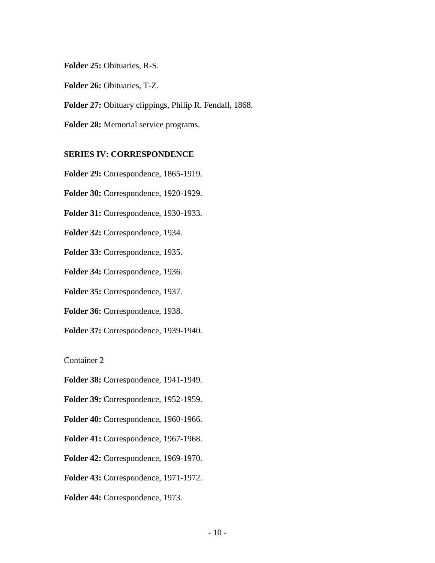**Folder 25:** Obituaries, R-S.

**Folder 26:** Obituaries, T-Z.

**Folder 27:** Obituary clippings, Philip R. Fendall, 1868.

**Folder 28:** Memorial service programs.

#### <span id="page-9-0"></span>**SERIES IV: CORRESPONDENCE**

**Folder 29:** Correspondence, 1865-1919.

**Folder 30:** Correspondence, 1920-1929.

**Folder 31:** Correspondence, 1930-1933.

**Folder 32:** Correspondence, 1934.

**Folder 33:** Correspondence, 1935.

**Folder 34:** Correspondence, 1936.

**Folder 35:** Correspondence, 1937.

**Folder 36:** Correspondence, 1938.

**Folder 37:** Correspondence, 1939-1940.

Container 2

**Folder 38:** Correspondence, 1941-1949.

**Folder 39:** Correspondence, 1952-1959.

**Folder 40:** Correspondence, 1960-1966.

**Folder 41:** Correspondence, 1967-1968.

**Folder 42:** Correspondence, 1969-1970.

**Folder 43:** Correspondence, 1971-1972.

**Folder 44:** Correspondence, 1973.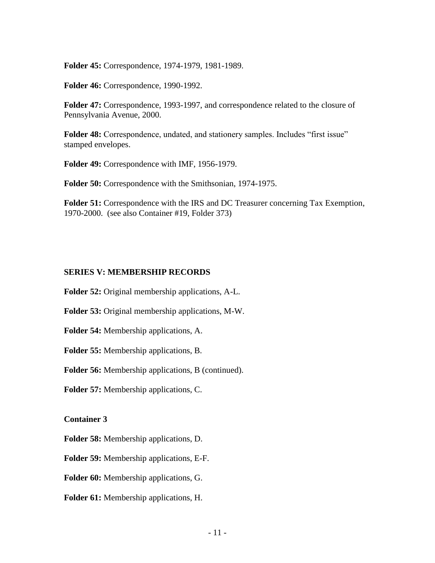**Folder 45:** Correspondence, 1974-1979, 1981-1989.

**Folder 46:** Correspondence, 1990-1992.

**Folder 47:** Correspondence, 1993-1997, and correspondence related to the closure of Pennsylvania Avenue, 2000.

**Folder 48:** Correspondence, undated, and stationery samples. Includes "first issue" stamped envelopes.

**Folder 49:** Correspondence with IMF, 1956-1979.

**Folder 50:** Correspondence with the Smithsonian, 1974-1975.

**Folder 51:** Correspondence with the IRS and DC Treasurer concerning Tax Exemption, 1970-2000. (see also Container #19, Folder 373)

#### <span id="page-10-0"></span>**SERIES V: MEMBERSHIP RECORDS**

**Folder 52:** Original membership applications, A-L.

**Folder 53:** Original membership applications, M-W.

**Folder 54:** Membership applications, A.

**Folder 55:** Membership applications, B.

**Folder 56:** Membership applications, B (continued).

**Folder 57:** Membership applications, C.

**Container 3**

**Folder 58:** Membership applications, D.

**Folder 59:** Membership applications, E-F.

**Folder 60:** Membership applications, G.

**Folder 61:** Membership applications, H.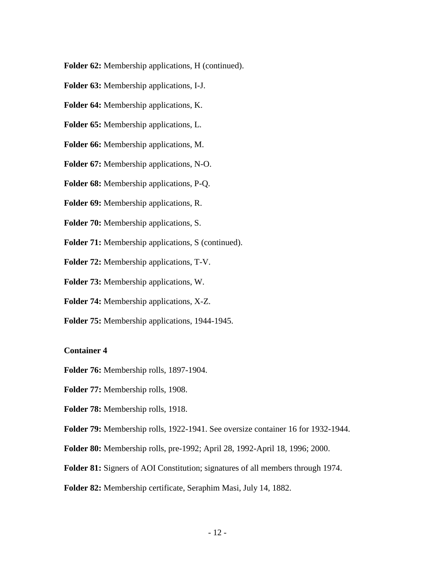**Folder 62:** Membership applications, H (continued).

- **Folder 63:** Membership applications, I-J.
- **Folder 64:** Membership applications, K.
- **Folder 65:** Membership applications, L.
- **Folder 66:** Membership applications, M.
- **Folder 67:** Membership applications, N-O.
- **Folder 68:** Membership applications, P-Q.
- **Folder 69:** Membership applications, R.
- **Folder 70:** Membership applications, S.
- **Folder 71:** Membership applications, S (continued).
- **Folder 72:** Membership applications, T-V.
- **Folder 73:** Membership applications, W.
- **Folder 74:** Membership applications, X-Z.
- **Folder 75:** Membership applications, 1944-1945.

#### **Container 4**

- **Folder 76:** Membership rolls, 1897-1904.
- **Folder 77:** Membership rolls, 1908.
- **Folder 78:** Membership rolls, 1918.
- **Folder 79:** Membership rolls, 1922-1941. See oversize container 16 for 1932-1944.
- **Folder 80:** Membership rolls, pre-1992; April 28, 1992-April 18, 1996; 2000.
- **Folder 81:** Signers of AOI Constitution; signatures of all members through 1974.
- **Folder 82:** Membership certificate, Seraphim Masi, July 14, 1882.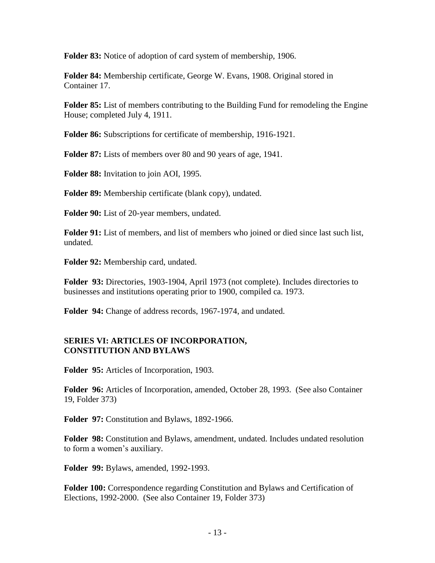**Folder 83:** Notice of adoption of card system of membership, 1906.

**Folder 84:** Membership certificate, George W. Evans, 1908. Original stored in Container 17.

**Folder 85:** List of members contributing to the Building Fund for remodeling the Engine House; completed July 4, 1911.

**Folder 86:** Subscriptions for certificate of membership, 1916-1921.

**Folder 87:** Lists of members over 80 and 90 years of age, 1941.

**Folder 88:** Invitation to join AOI, 1995.

**Folder 89:** Membership certificate (blank copy), undated.

**Folder 90:** List of 20-year members, undated.

**Folder 91:** List of members, and list of members who joined or died since last such list, undated.

**Folder 92:** Membership card, undated.

**Folder 93:** Directories, 1903-1904, April 1973 (not complete). Includes directories to businesses and institutions operating prior to 1900, compiled ca. 1973.

**Folder 94:** Change of address records, 1967-1974, and undated.

## <span id="page-12-1"></span><span id="page-12-0"></span>**SERIES VI: ARTICLES OF INCORPORATION, CONSTITUTION AND BYLAWS**

**Folder 95:** Articles of Incorporation, 1903.

**Folder 96:** Articles of Incorporation, amended, October 28, 1993. (See also Container 19, Folder 373)

Folder 97: Constitution and Bylaws, 1892-1966.

**Folder 98:** Constitution and Bylaws, amendment, undated. Includes undated resolution to form a women's auxiliary.

**Folder 99:** Bylaws, amended, 1992-1993.

**Folder 100:** Correspondence regarding Constitution and Bylaws and Certification of Elections, 1992-2000. (See also Container 19, Folder 373)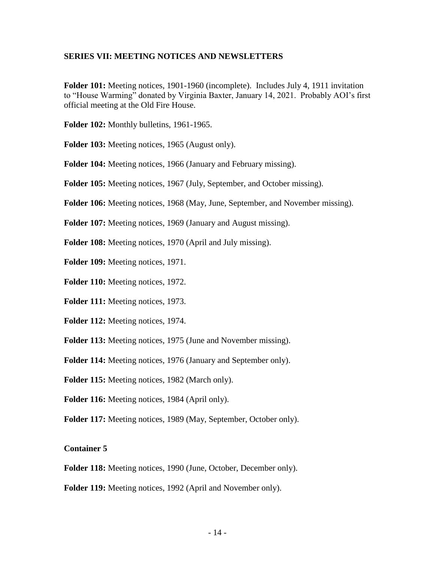#### <span id="page-13-0"></span>**SERIES VII: MEETING NOTICES AND NEWSLETTERS**

**Folder 101:** Meeting notices, 1901-1960 (incomplete). Includes July 4, 1911 invitation to "House Warming" donated by Virginia Baxter, January 14, 2021. Probably AOI's first official meeting at the Old Fire House.

**Folder 102:** Monthly bulletins, 1961-1965.

**Folder 103:** Meeting notices, 1965 (August only).

**Folder 104:** Meeting notices, 1966 (January and February missing).

**Folder 105:** Meeting notices, 1967 (July, September, and October missing).

**Folder 106:** Meeting notices, 1968 (May, June, September, and November missing).

**Folder 107:** Meeting notices, 1969 (January and August missing).

**Folder 108:** Meeting notices, 1970 (April and July missing).

**Folder 109:** Meeting notices, 1971.

**Folder 110:** Meeting notices, 1972.

**Folder 111:** Meeting notices, 1973.

**Folder 112:** Meeting notices, 1974.

**Folder 113:** Meeting notices, 1975 (June and November missing).

**Folder 114:** Meeting notices, 1976 (January and September only).

**Folder 115:** Meeting notices, 1982 (March only).

Folder 116: Meeting notices, 1984 (April only).

**Folder 117:** Meeting notices, 1989 (May, September, October only).

#### **Container 5**

**Folder 118:** Meeting notices, 1990 (June, October, December only).

**Folder 119:** Meeting notices, 1992 (April and November only).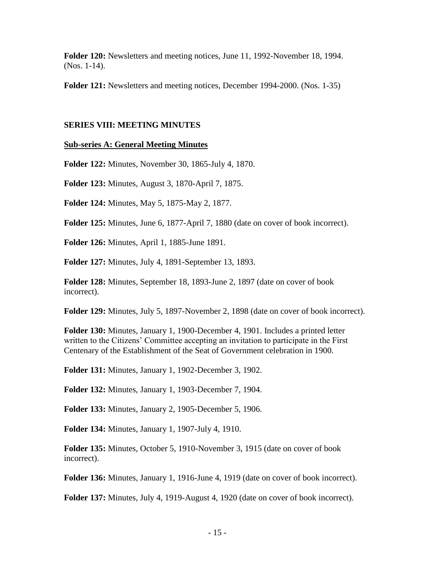**Folder 120:** Newsletters and meeting notices, June 11, 1992-November 18, 1994. (Nos. 1-14).

**Folder 121:** Newsletters and meeting notices, December 1994-2000. (Nos. 1-35)

### <span id="page-14-0"></span>**SERIES VIII: MEETING MINUTES**

### <span id="page-14-1"></span>**Sub-series A: General Meeting Minutes**

**Folder 122:** Minutes, November 30, 1865-July 4, 1870.

**Folder 123:** Minutes, August 3, 1870-April 7, 1875.

**Folder 124:** Minutes, May 5, 1875-May 2, 1877.

**Folder 125:** Minutes, June 6, 1877-April 7, 1880 (date on cover of book incorrect).

**Folder 126:** Minutes, April 1, 1885-June 1891.

**Folder 127:** Minutes, July 4, 1891-September 13, 1893.

**Folder 128:** Minutes, September 18, 1893-June 2, 1897 (date on cover of book incorrect).

**Folder 129:** Minutes, July 5, 1897-November 2, 1898 (date on cover of book incorrect).

**Folder 130:** Minutes, January 1, 1900-December 4, 1901. Includes a printed letter written to the Citizens' Committee accepting an invitation to participate in the First Centenary of the Establishment of the Seat of Government celebration in 1900.

**Folder 131:** Minutes, January 1, 1902-December 3, 1902.

**Folder 132:** Minutes, January 1, 1903-December 7, 1904.

**Folder 133:** Minutes, January 2, 1905-December 5, 1906.

**Folder 134:** Minutes, January 1, 1907-July 4, 1910.

**Folder 135:** Minutes, October 5, 1910-November 3, 1915 (date on cover of book incorrect).

**Folder 136:** Minutes, January 1, 1916-June 4, 1919 (date on cover of book incorrect).

**Folder 137:** Minutes, July 4, 1919-August 4, 1920 (date on cover of book incorrect).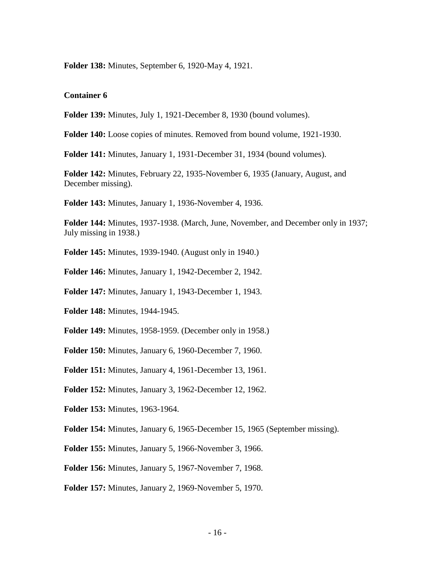**Folder 138:** Minutes, September 6, 1920-May 4, 1921.

#### **Container 6**

**Folder 139:** Minutes, July 1, 1921-December 8, 1930 (bound volumes).

**Folder 140:** Loose copies of minutes. Removed from bound volume, 1921-1930.

**Folder 141:** Minutes, January 1, 1931-December 31, 1934 (bound volumes).

**Folder 142:** Minutes, February 22, 1935-November 6, 1935 (January, August, and December missing).

**Folder 143:** Minutes, January 1, 1936-November 4, 1936.

**Folder 144:** Minutes, 1937-1938. (March, June, November, and December only in 1937; July missing in 1938.)

**Folder 145:** Minutes, 1939-1940. (August only in 1940.)

**Folder 146:** Minutes, January 1, 1942-December 2, 1942.

**Folder 147:** Minutes, January 1, 1943-December 1, 1943.

**Folder 148:** Minutes, 1944-1945.

**Folder 149:** Minutes, 1958-1959. (December only in 1958.)

**Folder 150:** Minutes, January 6, 1960-December 7, 1960.

**Folder 151:** Minutes, January 4, 1961-December 13, 1961.

**Folder 152:** Minutes, January 3, 1962-December 12, 1962.

**Folder 153:** Minutes, 1963-1964.

**Folder 154:** Minutes, January 6, 1965-December 15, 1965 (September missing).

**Folder 155:** Minutes, January 5, 1966-November 3, 1966.

**Folder 156:** Minutes, January 5, 1967-November 7, 1968.

**Folder 157:** Minutes, January 2, 1969-November 5, 1970.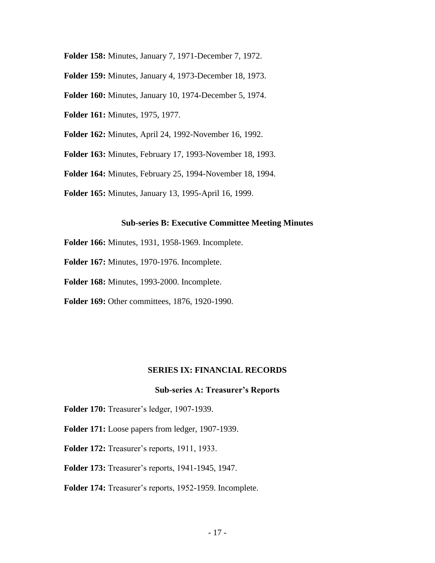- **Folder 158:** Minutes, January 7, 1971-December 7, 1972.
- **Folder 159:** Minutes, January 4, 1973-December 18, 1973.
- **Folder 160:** Minutes, January 10, 1974-December 5, 1974.
- **Folder 161:** Minutes, 1975, 1977.
- **Folder 162:** Minutes, April 24, 1992-November 16, 1992.
- **Folder 163:** Minutes, February 17, 1993-November 18, 1993.
- **Folder 164:** Minutes, February 25, 1994-November 18, 1994.
- **Folder 165:** Minutes, January 13, 1995-April 16, 1999.

#### **Sub-series B: Executive Committee Meeting Minutes**

- <span id="page-16-0"></span>**Folder 166:** Minutes, 1931, 1958-1969. Incomplete.
- **Folder 167:** Minutes, 1970-1976. Incomplete.
- **Folder 168:** Minutes, 1993-2000. Incomplete.
- **Folder 169:** Other committees, 1876, 1920-1990.

#### **SERIES IX: FINANCIAL RECORDS**

#### **Sub-series A: Treasurer's Reports**

- <span id="page-16-2"></span><span id="page-16-1"></span>**Folder 170:** Treasurer's ledger, 1907-1939.
- **Folder 171:** Loose papers from ledger, 1907-1939.
- **Folder 172:** Treasurer's reports, 1911, 1933.
- **Folder 173:** Treasurer's reports, 1941-1945, 1947.
- **Folder 174:** Treasurer's reports, 1952-1959. Incomplete.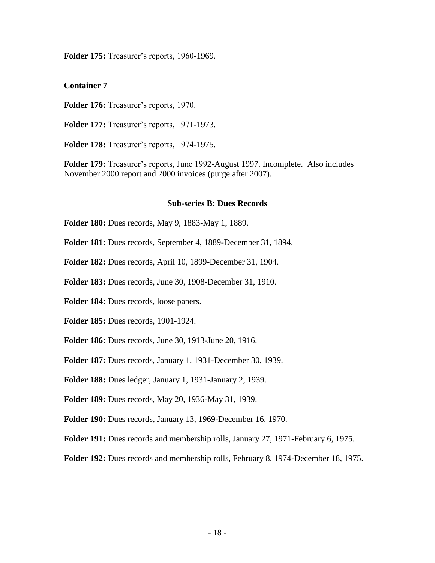**Folder 175:** Treasurer's reports, 1960-1969.

**Container 7**

**Folder 176:** Treasurer's reports, 1970.

**Folder 177:** Treasurer's reports, 1971-1973.

**Folder 178:** Treasurer's reports, 1974-1975.

**Folder 179:** Treasurer's reports, June 1992-August 1997. Incomplete. Also includes November 2000 report and 2000 invoices (purge after 2007).

#### **Sub-series B: Dues Records**

<span id="page-17-0"></span>**Folder 180:** Dues records, May 9, 1883-May 1, 1889.

**Folder 181:** Dues records, September 4, 1889-December 31, 1894.

**Folder 182:** Dues records, April 10, 1899-December 31, 1904.

**Folder 183:** Dues records, June 30, 1908-December 31, 1910.

**Folder 184:** Dues records, loose papers.

**Folder 185:** Dues records, 1901-1924.

**Folder 186:** Dues records, June 30, 1913-June 20, 1916.

**Folder 187:** Dues records, January 1, 1931-December 30, 1939.

**Folder 188:** Dues ledger, January 1, 1931-January 2, 1939.

**Folder 189:** Dues records, May 20, 1936-May 31, 1939.

**Folder 190:** Dues records, January 13, 1969-December 16, 1970.

**Folder 191:** Dues records and membership rolls, January 27, 1971-February 6, 1975.

**Folder 192:** Dues records and membership rolls, February 8, 1974-December 18, 1975.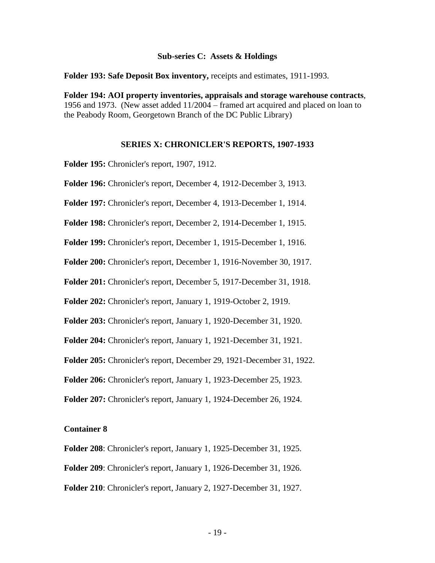#### **Sub-series C: Assets & Holdings**

<span id="page-18-0"></span>**Folder 193: Safe Deposit Box inventory,** receipts and estimates, 1911-1993.

**Folder 194: AOI property inventories, appraisals and storage warehouse contracts**, 1956 and 1973. (New asset added 11/2004 – framed art acquired and placed on loan to the Peabody Room, Georgetown Branch of the DC Public Library)

#### **SERIES X: CHRONICLER'S REPORTS, 1907-1933**

<span id="page-18-1"></span>**Folder 195:** Chronicler's report, 1907, 1912.

**Folder 196:** Chronicler's report, December 4, 1912-December 3, 1913.

**Folder 197:** Chronicler's report, December 4, 1913-December 1, 1914.

**Folder 198:** Chronicler's report, December 2, 1914-December 1, 1915.

**Folder 199:** Chronicler's report, December 1, 1915-December 1, 1916.

**Folder 200:** Chronicler's report, December 1, 1916-November 30, 1917.

**Folder 201:** Chronicler's report, December 5, 1917-December 31, 1918.

**Folder 202:** Chronicler's report, January 1, 1919-October 2, 1919.

**Folder 203:** Chronicler's report, January 1, 1920-December 31, 1920.

**Folder 204:** Chronicler's report, January 1, 1921-December 31, 1921.

**Folder 205:** Chronicler's report, December 29, 1921-December 31, 1922.

**Folder 206:** Chronicler's report, January 1, 1923-December 25, 1923.

**Folder 207:** Chronicler's report, January 1, 1924-December 26, 1924.

#### **Container 8**

**Folder 208**: Chronicler's report, January 1, 1925-December 31, 1925.

**Folder 209**: Chronicler's report, January 1, 1926-December 31, 1926.

**Folder 210**: Chronicler's report, January 2, 1927-December 31, 1927.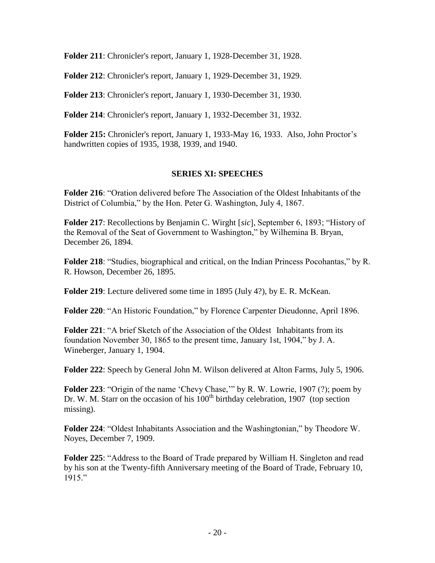**Folder 211**: Chronicler's report, January 1, 1928-December 31, 1928.

**Folder 212**: Chronicler's report, January 1, 1929-December 31, 1929.

**Folder 213**: Chronicler's report, January 1, 1930-December 31, 1930.

**Folder 214**: Chronicler's report, January 1, 1932-December 31, 1932.

**Folder 215:** Chronicler's report, January 1, 1933-May 16, 1933. Also, John Proctor's handwritten copies of 1935, 1938, 1939, and 1940.

## **SERIES XI: SPEECHES**

<span id="page-19-0"></span>**Folder 216**: "Oration delivered before The Association of the Oldest Inhabitants of the District of Columbia," by the Hon. Peter G. Washington, July 4, 1867.

**Folder 217**: Recollections by Benjamin C. Wirght [*sic*], September 6, 1893; "History of the Removal of the Seat of Government to Washington," by Wilhemina B. Bryan, December 26, 1894.

**Folder 218**: "Studies, biographical and critical, on the Indian Princess Pocohantas," by R. R. Howson, December 26, 1895.

**Folder 219**: Lecture delivered some time in 1895 (July 4?), by E. R. McKean.

**Folder 220**: "An Historic Foundation," by Florence Carpenter Dieudonne, April 1896.

**Folder 221**: "A brief Sketch of the Association of the Oldest Inhabitants from its foundation November 30, 1865 to the present time, January 1st, 1904," by J. A. Wineberger, January 1, 1904.

**Folder 222**: Speech by General John M. Wilson delivered at Alton Farms, July 5, 1906.

**Folder 223**: "Origin of the name 'Chevy Chase,'" by R. W. Lowrie, 1907 (?); poem by Dr. W. M. Starr on the occasion of his  $100<sup>th</sup>$  birthday celebration, 1907 (top section missing).

**Folder 224**: "Oldest Inhabitants Association and the Washingtonian," by Theodore W. Noyes, December 7, 1909.

**Folder 225**: "Address to the Board of Trade prepared by William H. Singleton and read by his son at the Twenty-fifth Anniversary meeting of the Board of Trade, February 10, 1915."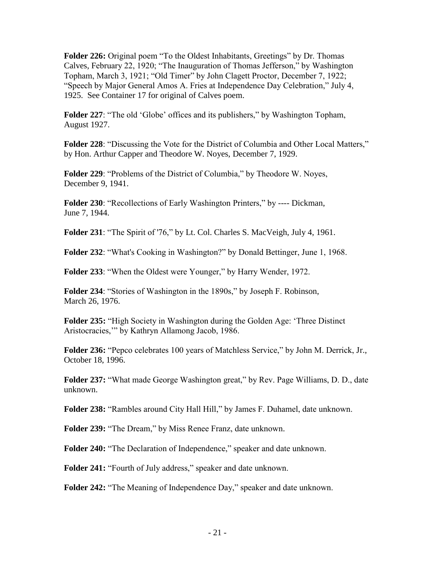**Folder 226:** Original poem "To the Oldest Inhabitants, Greetings" by Dr. Thomas Calves, February 22, 1920; "The Inauguration of Thomas Jefferson," by Washington Topham, March 3, 1921; "Old Timer" by John Clagett Proctor, December 7, 1922; "Speech by Major General Amos A. Fries at Independence Day Celebration," July 4, 1925. See Container 17 for original of Calves poem.

**Folder 227**: "The old 'Globe' offices and its publishers," by Washington Topham, August 1927.

**Folder 228**: "Discussing the Vote for the District of Columbia and Other Local Matters," by Hon. Arthur Capper and Theodore W. Noyes, December 7, 1929.

**Folder 229**: "Problems of the District of Columbia," by Theodore W. Noyes, December 9, 1941.

**Folder 230**: "Recollections of Early Washington Printers," by ---- Dickman, June 7, 1944.

**Folder 231**: "The Spirit of '76," by Lt. Col. Charles S. MacVeigh, July 4, 1961.

**Folder 232**: "What's Cooking in Washington?" by Donald Bettinger, June 1, 1968.

**Folder 233**: "When the Oldest were Younger," by Harry Wender, 1972.

**Folder 234**: "Stories of Washington in the 1890s," by Joseph F. Robinson, March 26, 1976.

**Folder 235:** "High Society in Washington during the Golden Age: 'Three Distinct Aristocracies,'" by Kathryn Allamong Jacob, 1986.

**Folder 236:** "Pepco celebrates 100 years of Matchless Service," by John M. Derrick, Jr., October 18, 1996.

**Folder 237:** "What made George Washington great," by Rev. Page Williams, D. D., date unknown.

**Folder 238:** "Rambles around City Hall Hill," by James F. Duhamel, date unknown.

**Folder 239:** "The Dream," by Miss Renee Franz, date unknown.

**Folder 240:** "The Declaration of Independence," speaker and date unknown.

**Folder 241:** "Fourth of July address," speaker and date unknown.

**Folder 242:** "The Meaning of Independence Day," speaker and date unknown.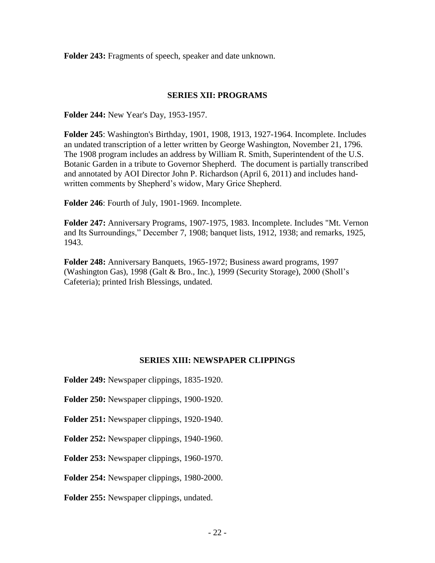**Folder 243:** Fragments of speech, speaker and date unknown.

### **SERIES XII: PROGRAMS**

<span id="page-21-0"></span>**Folder 244:** New Year's Day, 1953-1957.

**Folder 245**: Washington's Birthday, 1901, 1908, 1913, 1927-1964. Incomplete. Includes an undated transcription of a letter written by George Washington, November 21, 1796. The 1908 program includes an address by William R. Smith, Superintendent of the U.S. Botanic Garden in a tribute to Governor Shepherd. The document is partially transcribed and annotated by AOI Director John P. Richardson (April 6, 2011) and includes handwritten comments by Shepherd's widow, Mary Grice Shepherd.

**Folder 246**: Fourth of July, 1901-1969. Incomplete.

**Folder 247:** Anniversary Programs, 1907-1975, 1983. Incomplete. Includes "Mt. Vernon and Its Surroundings," December 7, 1908; banquet lists, 1912, 1938; and remarks, 1925, 1943.

**Folder 248:** Anniversary Banquets, 1965-1972; Business award programs, 1997 (Washington Gas), 1998 (Galt & Bro., Inc.), 1999 (Security Storage), 2000 (Sholl's Cafeteria); printed Irish Blessings, undated.

### **SERIES XIII: NEWSPAPER CLIPPINGS**

<span id="page-21-1"></span>**Folder 249:** Newspaper clippings, 1835-1920.

**Folder 250:** Newspaper clippings, 1900-1920.

**Folder 251:** Newspaper clippings, 1920-1940.

**Folder 252:** Newspaper clippings, 1940-1960.

**Folder 253:** Newspaper clippings, 1960-1970.

**Folder 254:** Newspaper clippings, 1980-2000.

**Folder 255:** Newspaper clippings, undated.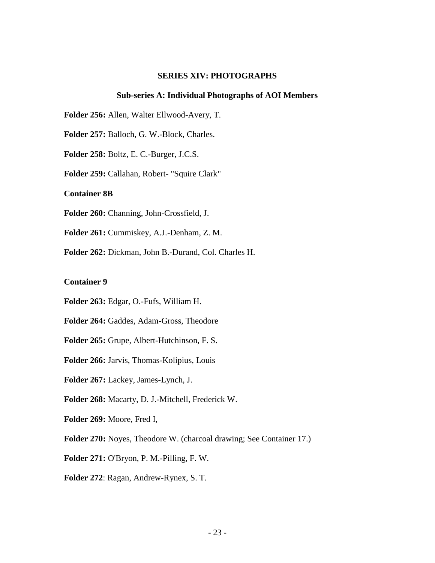#### **SERIES XIV: PHOTOGRAPHS**

#### **Sub-series A: Individual Photographs of AOI Members**

<span id="page-22-0"></span>**Folder 256:** Allen, Walter Ellwood-Avery, T.

**Folder 257:** Balloch, G. W.-Block, Charles.

**Folder 258:** Boltz, E. C.-Burger, J.C.S.

**Folder 259:** Callahan, Robert- "Squire Clark"

**Container 8B**

**Folder 260:** Channing, John-Crossfield, J.

**Folder 261:** Cummiskey, A.J.-Denham, Z. M.

**Folder 262:** Dickman, John B.-Durand, Col. Charles H.

#### **Container 9**

- **Folder 263:** Edgar, O.-Fufs, William H.
- **Folder 264:** Gaddes, Adam-Gross, Theodore
- **Folder 265:** Grupe, Albert-Hutchinson, F. S.
- **Folder 266:** Jarvis, Thomas-Kolipius, Louis
- **Folder 267:** Lackey, James-Lynch, J.
- **Folder 268:** Macarty, D. J.-Mitchell, Frederick W.
- **Folder 269:** Moore, Fred I,
- **Folder 270:** Noyes, Theodore W. (charcoal drawing; See Container 17.)
- **Folder 271:** O'Bryon, P. M.-Pilling, F. W.
- **Folder 272**: Ragan, Andrew-Rynex, S. T.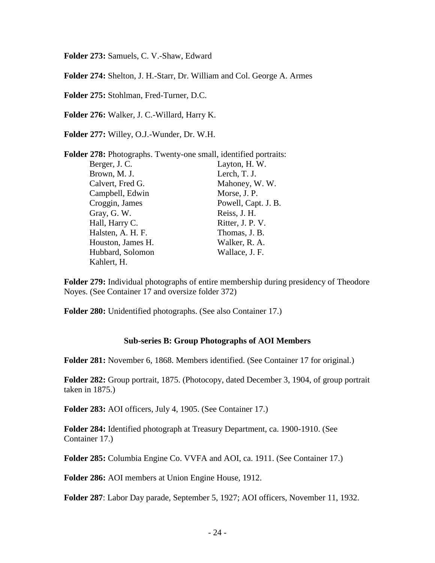**Folder 273:** Samuels, C. V.-Shaw, Edward

**Folder 274:** Shelton, J. H.-Starr, Dr. William and Col. George A. Armes

**Folder 275:** Stohlman, Fred-Turner, D.C.

**Folder 276:** Walker, J. C.-Willard, Harry K.

**Folder 277:** Willey, O.J.-Wunder, Dr. W.H.

|                   | <b>Folder 278:</b> Photographs. Twenty-one small, identified portraits: |
|-------------------|-------------------------------------------------------------------------|
| Berger, J. C.     | Layton, H.W.                                                            |
| Brown, M. J.      | Lerch, T. J.                                                            |
| Calvert, Fred G.  | Mahoney, W.W.                                                           |
| Campbell, Edwin   | Morse, J. P.                                                            |
| Croggin, James    | Powell, Capt. J. B.                                                     |
| Gray, G. W.       | Reiss, J. H.                                                            |
| Hall, Harry C.    | Ritter, J. P. V.                                                        |
| Halsten, A. H. F. | Thomas, J. B.                                                           |
| Houston, James H. | Walker, R. A.                                                           |
| Hubbard, Solomon  | Wallace, J. F.                                                          |
| Kahlert, H.       |                                                                         |

**Folder 279:** Individual photographs of entire membership during presidency of Theodore Noyes. (See Container 17 and oversize folder 372)

**Folder 280:** Unidentified photographs. (See also Container 17.)

#### **Sub-series B: Group Photographs of AOI Members**

<span id="page-23-0"></span>**Folder 281:** November 6, 1868. Members identified. (See Container 17 for original.)

**Folder 282:** Group portrait, 1875. (Photocopy, dated December 3, 1904, of group portrait taken in 1875.)

**Folder 283:** AOI officers, July 4, 1905. (See Container 17.)

**Folder 284:** Identified photograph at Treasury Department, ca. 1900-1910. (See Container 17.)

**Folder 285:** Columbia Engine Co. VVFA and AOI, ca. 1911. (See Container 17.)

**Folder 286:** AOI members at Union Engine House, 1912.

**Folder 287**: Labor Day parade, September 5, 1927; AOI officers, November 11, 1932.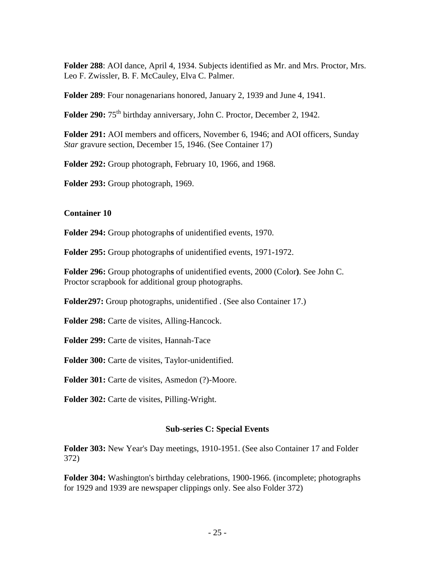**Folder 288**: AOI dance, April 4, 1934. Subjects identified as Mr. and Mrs. Proctor, Mrs. Leo F. Zwissler, B. F. McCauley, Elva C. Palmer.

**Folder 289**: Four nonagenarians honored, January 2, 1939 and June 4, 1941.

Folder 290: 75<sup>th</sup> birthday anniversary, John C. Proctor, December 2, 1942.

**Folder 291:** AOI members and officers, November 6, 1946; and AOI officers, Sunday *Star* gravure section, December 15, 1946. (See Container 17)

**Folder 292:** Group photograph, February 10, 1966, and 1968.

**Folder 293:** Group photograph, 1969.

## **Container 10**

**Folder 294:** Group photograph**s** of unidentified events, 1970.

**Folder 295:** Group photograph**s** of unidentified events, 1971**-**1972.

**Folder 296:** Group photograph**s** of unidentified events, 2000 (Color**)**. See John C. Proctor scrapbook for additional group photographs.

**Folder297:** Group photographs, unidentified . (See also Container 17.)

**Folder 298:** Carte de visites, Alling-Hancock.

**Folder 299:** Carte de visites, Hannah-Tace

**Folder 300:** Carte de visites, Taylor-unidentified.

**Folder 301:** Carte de visites, Asmedon (?)-Moore.

**Folder 302:** Carte de visites, Pilling-Wright.

### **Sub-series C: Special Events**

<span id="page-24-0"></span>**Folder 303:** New Year's Day meetings, 1910-1951. (See also Container 17 and Folder 372)

**Folder 304:** Washington's birthday celebrations, 1900-1966. (incomplete; photographs for 1929 and 1939 are newspaper clippings only. See also Folder 372)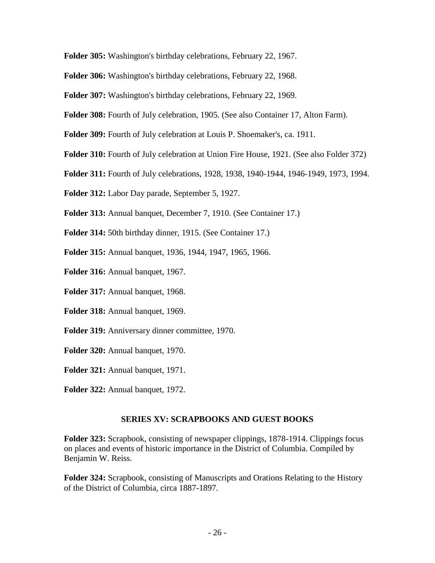**Folder 305:** Washington's birthday celebrations, February 22, 1967.

**Folder 306:** Washington's birthday celebrations, February 22, 1968.

**Folder 307:** Washington's birthday celebrations, February 22, 1969.

**Folder 308:** Fourth of July celebration, 1905. (See also Container 17, Alton Farm).

**Folder 309:** Fourth of July celebration at Louis P. Shoemaker's, ca. 1911.

**Folder 310:** Fourth of July celebration at Union Fire House, 1921. (See also Folder 372)

**Folder 311:** Fourth of July celebrations, 1928, 1938, 1940-1944, 1946-1949, 1973, 1994.

**Folder 312:** Labor Day parade, September 5, 1927.

**Folder 313:** Annual banquet, December 7, 1910. (See Container 17.)

**Folder 314:** 50th birthday dinner, 1915. (See Container 17.)

**Folder 315:** Annual banquet, 1936, 1944, 1947, 1965, 1966.

**Folder 316:** Annual banquet, 1967.

**Folder 317:** Annual banquet, 1968.

**Folder 318:** Annual banquet, 1969.

**Folder 319:** Anniversary dinner committee, 1970.

**Folder 320:** Annual banquet, 1970.

**Folder 321:** Annual banquet, 1971.

**Folder 322:** Annual banquet, 1972.

### **SERIES XV: SCRAPBOOKS AND GUEST BOOKS**

<span id="page-25-0"></span>**Folder 323:** Scrapbook, consisting of newspaper clippings, 1878-1914. Clippings focus on places and events of historic importance in the District of Columbia. Compiled by Benjamin W. Reiss.

**Folder 324:** Scrapbook, consisting of Manuscripts and Orations Relating to the History of the District of Columbia, circa 1887-1897.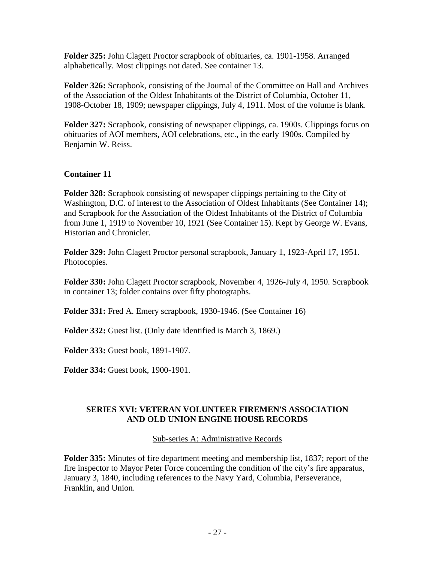**Folder 325:** John Clagett Proctor scrapbook of obituaries, ca. 1901-1958. Arranged alphabetically. Most clippings not dated. See container 13.

**Folder 326:** Scrapbook, consisting of the Journal of the Committee on Hall and Archives of the Association of the Oldest Inhabitants of the District of Columbia, October 11, 1908-October 18, 1909; newspaper clippings, July 4, 1911. Most of the volume is blank.

**Folder 327:** Scrapbook, consisting of newspaper clippings, ca. 1900s. Clippings focus on obituaries of AOI members, AOI celebrations, etc., in the early 1900s. Compiled by Benjamin W. Reiss.

## **Container 11**

**Folder 328:** Scrapbook consisting of newspaper clippings pertaining to the City of Washington, D.C. of interest to the Association of Oldest Inhabitants (See Container 14); and Scrapbook for the Association of the Oldest Inhabitants of the District of Columbia from June 1, 1919 to November 10, 1921 (See Container 15). Kept by George W. Evans, Historian and Chronicler.

**Folder 329:** John Clagett Proctor personal scrapbook, January 1, 1923-April 17, 1951. Photocopies.

**Folder 330:** John Clagett Proctor scrapbook, November 4, 1926-July 4, 1950. Scrapbook in container 13; folder contains over fifty photographs.

**Folder 331:** Fred A. Emery scrapbook, 1930-1946. (See Container 16)

**Folder 332:** Guest list. (Only date identified is March 3, 1869.)

**Folder 333:** Guest book, 1891-1907.

**Folder 334:** Guest book, 1900-1901.

## <span id="page-26-1"></span><span id="page-26-0"></span>**SERIES XVI: VETERAN VOLUNTEER FIREMEN'S ASSOCIATION AND OLD UNION ENGINE HOUSE RECORDS**

Sub-series A: Administrative Records

<span id="page-26-2"></span>**Folder 335:** Minutes of fire department meeting and membership list, 1837; report of the fire inspector to Mayor Peter Force concerning the condition of the city's fire apparatus, January 3, 1840, including references to the Navy Yard, Columbia, Perseverance, Franklin, and Union.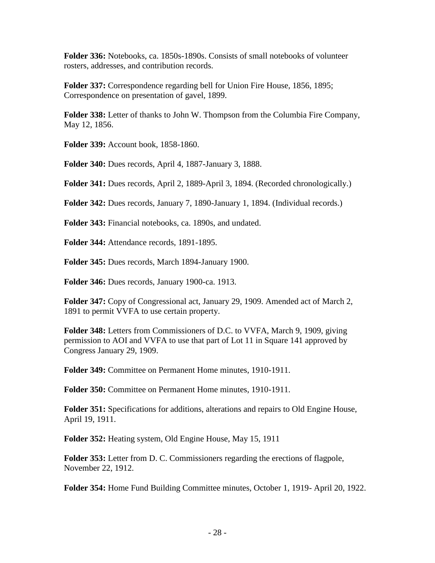**Folder 336:** Notebooks, ca. 1850s-1890s. Consists of small notebooks of volunteer rosters, addresses, and contribution records.

**Folder 337:** Correspondence regarding bell for Union Fire House, 1856, 1895; Correspondence on presentation of gavel, 1899.

**Folder 338:** Letter of thanks to John W. Thompson from the Columbia Fire Company, May 12, 1856.

**Folder 339:** Account book, 1858-1860.

**Folder 340:** Dues records, April 4, 1887-January 3, 1888.

**Folder 341:** Dues records, April 2, 1889-April 3, 1894. (Recorded chronologically.)

**Folder 342:** Dues records, January 7, 1890-January 1, 1894. (Individual records.)

**Folder 343:** Financial notebooks, ca. 1890s, and undated.

**Folder 344:** Attendance records, 1891-1895.

**Folder 345:** Dues records, March 1894-January 1900.

**Folder 346:** Dues records, January 1900-ca. 1913.

**Folder 347:** Copy of Congressional act, January 29, 1909. Amended act of March 2, 1891 to permit VVFA to use certain property.

**Folder 348:** Letters from Commissioners of D.C. to VVFA, March 9, 1909, giving permission to AOI and VVFA to use that part of Lot 11 in Square 141 approved by Congress January 29, 1909.

**Folder 349:** Committee on Permanent Home minutes, 1910-1911.

**Folder 350:** Committee on Permanent Home minutes, 1910-1911.

**Folder 351:** Specifications for additions, alterations and repairs to Old Engine House, April 19, 1911.

**Folder 352:** Heating system, Old Engine House, May 15, 1911

**Folder 353:** Letter from D. C. Commissioners regarding the erections of flagpole, November 22, 1912.

**Folder 354:** Home Fund Building Committee minutes, October 1, 1919- April 20, 1922.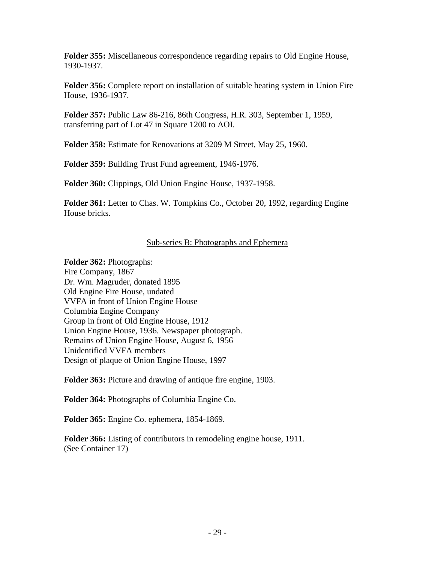**Folder 355:** Miscellaneous correspondence regarding repairs to Old Engine House, 1930-1937.

**Folder 356:** Complete report on installation of suitable heating system in Union Fire House, 1936-1937.

**Folder 357:** Public Law 86-216, 86th Congress, H.R. 303, September 1, 1959, transferring part of Lot 47 in Square 1200 to AOI.

**Folder 358:** Estimate for Renovations at 3209 M Street, May 25, 1960.

**Folder 359:** Building Trust Fund agreement, 1946-1976.

**Folder 360:** Clippings, Old Union Engine House, 1937-1958.

**Folder 361:** Letter to Chas. W. Tompkins Co., October 20, 1992, regarding Engine House bricks.

## Sub-series B: Photographs and Ephemera

<span id="page-28-0"></span>**Folder 362:** Photographs: Fire Company, 1867 Dr. Wm. Magruder, donated 1895 Old Engine Fire House, undated VVFA in front of Union Engine House Columbia Engine Company Group in front of Old Engine House, 1912 Union Engine House, 1936. Newspaper photograph. Remains of Union Engine House, August 6, 1956 Unidentified VVFA members Design of plaque of Union Engine House, 1997

**Folder 363:** Picture and drawing of antique fire engine, 1903.

**Folder 364:** Photographs of Columbia Engine Co.

**Folder 365:** Engine Co. ephemera, 1854-1869.

**Folder 366:** Listing of contributors in remodeling engine house, 1911. (See Container 17)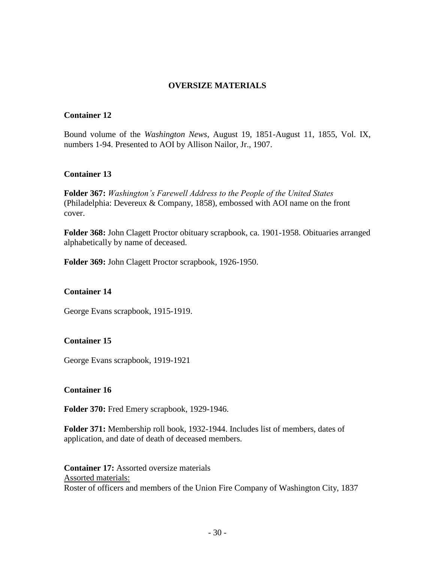## **OVERSIZE MATERIALS**

### <span id="page-29-0"></span>**Container 12**

Bound volume of the *Washington News*, August 19, 1851-August 11, 1855, Vol. IX, numbers 1-94. Presented to AOI by Allison Nailor, Jr., 1907.

### **Container 13**

**Folder 367:** *Washington's Farewell Address to the People of the United States* (Philadelphia: Devereux & Company, 1858), embossed with AOI name on the front cover.

**Folder 368:** John Clagett Proctor obituary scrapbook, ca. 1901-1958. Obituaries arranged alphabetically by name of deceased.

**Folder 369:** John Clagett Proctor scrapbook, 1926-1950.

### **Container 14**

George Evans scrapbook, 1915-1919.

## **Container 15**

George Evans scrapbook, 1919-1921

#### **Container 16**

**Folder 370:** Fred Emery scrapbook, 1929-1946.

**Folder 371:** Membership roll book, 1932-1944. Includes list of members, dates of application, and date of death of deceased members.

**Container 17:** Assorted oversize materials Assorted materials: Roster of officers and members of the Union Fire Company of Washington City, 1837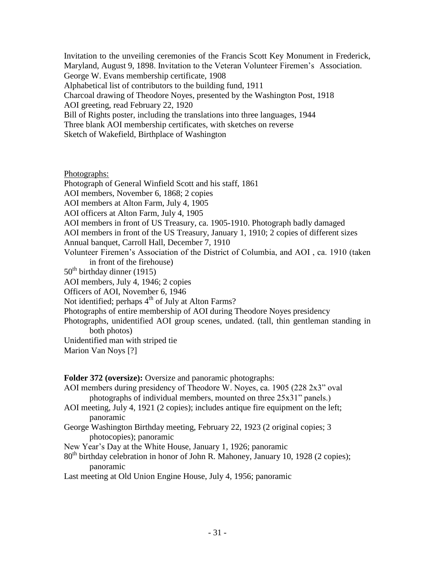Invitation to the unveiling ceremonies of the Francis Scott Key Monument in Frederick, Maryland, August 9, 1898. Invitation to the Veteran Volunteer Firemen's Association. George W. Evans membership certificate, 1908 Alphabetical list of contributors to the building fund, 1911 Charcoal drawing of Theodore Noyes, presented by the Washington Post, 1918 AOI greeting, read February 22, 1920 Bill of Rights poster, including the translations into three languages, 1944 Three blank AOI membership certificates, with sketches on reverse Sketch of Wakefield, Birthplace of Washington

### Photographs:

Photograph of General Winfield Scott and his staff, 1861 AOI members, November 6, 1868; 2 copies AOI members at Alton Farm, July 4, 1905 AOI officers at Alton Farm, July 4, 1905 AOI members in front of US Treasury, ca. 1905-1910. Photograph badly damaged AOI members in front of the US Treasury, January 1, 1910; 2 copies of different sizes Annual banquet, Carroll Hall, December 7, 1910 Volunteer Firemen's Association of the District of Columbia, and AOI , ca. 1910 (taken in front of the firehouse)  $50<sup>th</sup>$  birthday dinner (1915) AOI members, July 4, 1946; 2 copies Officers of AOI, November 6, 1946 Not identified; perhaps  $4<sup>th</sup>$  of July at Alton Farms? Photographs of entire membership of AOI during Theodore Noyes presidency Photographs, unidentified AOI group scenes, undated. (tall, thin gentleman standing in both photos) Unidentified man with striped tie Marion Van Noys [?]

## **Folder 372 (oversize):** Oversize and panoramic photographs:

AOI members during presidency of Theodore W. Noyes, ca. 1905 (228 2x3" oval photographs of individual members, mounted on three 25x31" panels.)

- AOI meeting, July 4, 1921 (2 copies); includes antique fire equipment on the left; panoramic
- George Washington Birthday meeting, February 22, 1923 (2 original copies; 3 photocopies); panoramic

New Year's Day at the White House, January 1, 1926; panoramic

 $80<sup>th</sup>$  birthday celebration in honor of John R. Mahoney, January 10, 1928 (2 copies); panoramic

Last meeting at Old Union Engine House, July 4, 1956; panoramic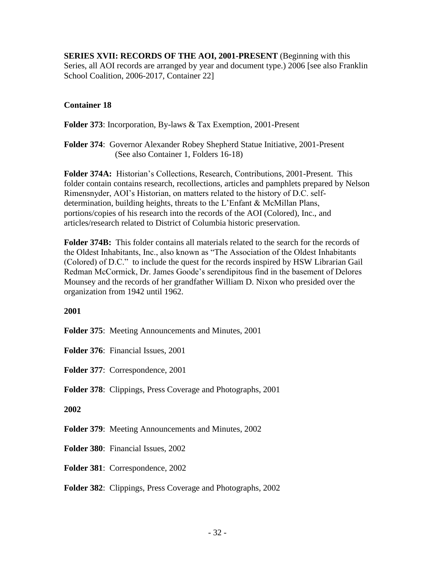<span id="page-31-0"></span>**SERIES XVII: RECORDS OF THE AOI, 2001-PRESENT** (Beginning with this Series, all AOI records are arranged by year and document type.) 2006 [see also Franklin School Coalition, 2006-2017, Container 22]

## **Container 18**

**Folder 373**: Incorporation, By-laws & Tax Exemption, 2001-Present

**Folder 374**: Governor Alexander Robey Shepherd Statue Initiative, 2001-Present (See also Container 1, Folders 16-18)

**Folder 374A:** Historian's Collections, Research, Contributions, 2001-Present. This folder contain contains research, recollections, articles and pamphlets prepared by Nelson Rimensnyder, AOI's Historian, on matters related to the history of D.C. selfdetermination, building heights, threats to the L'Enfant & McMillan Plans, portions/copies of his research into the records of the AOI (Colored), Inc., and articles/research related to District of Columbia historic preservation.

**Folder 374B:** This folder contains all materials related to the search for the records of the Oldest Inhabitants, Inc., also known as "The Association of the Oldest Inhabitants (Colored) of D.C." to include the quest for the records inspired by HSW Librarian Gail Redman McCormick, Dr. James Goode's serendipitous find in the basement of Delores Mounsey and the records of her grandfather William D. Nixon who presided over the organization from 1942 until 1962.

## **2001**

**Folder 375**: Meeting Announcements and Minutes, 2001

**Folder 376**: Financial Issues, 2001

**Folder 377**: Correspondence, 2001

**Folder 378**: Clippings, Press Coverage and Photographs, 2001

## **2002**

**Folder 379:** Meeting Announcements and Minutes, 2002

**Folder 380**: Financial Issues, 2002

**Folder 381**: Correspondence, 2002

**Folder 382**: Clippings, Press Coverage and Photographs, 2002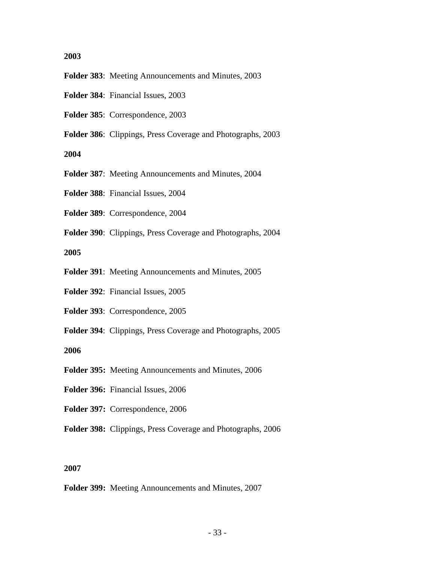#### **2003**

- **Folder 383**: Meeting Announcements and Minutes, 2003
- **Folder 384**: Financial Issues, 2003
- **Folder 385**: Correspondence, 2003
- **Folder 386**: Clippings, Press Coverage and Photographs, 2003

**2004**

- **Folder 387**: Meeting Announcements and Minutes, 2004
- **Folder 388**: Financial Issues, 2004
- **Folder 389**: Correspondence, 2004
- **Folder 390**: Clippings, Press Coverage and Photographs, 2004

**2005**

- **Folder 391**: Meeting Announcements and Minutes, 2005
- **Folder 392**: Financial Issues, 2005
- **Folder 393**: Correspondence, 2005
- **Folder 394**: Clippings, Press Coverage and Photographs, 2005

**2006**

- **Folder 395:** Meeting Announcements and Minutes, 2006
- **Folder 396:** Financial Issues, 2006
- **Folder 397:** Correspondence, 2006
- **Folder 398:** Clippings, Press Coverage and Photographs, 2006

#### **2007**

**Folder 399:** Meeting Announcements and Minutes, 2007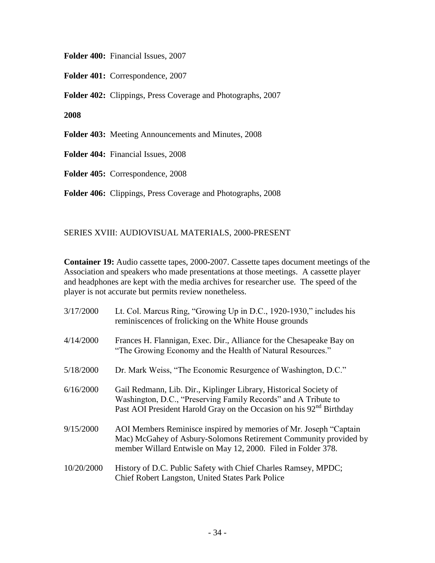**Folder 400:** Financial Issues, 2007

**Folder 401:** Correspondence, 2007

**Folder 402:** Clippings, Press Coverage and Photographs, 2007

**2008**

**Folder 403:** Meeting Announcements and Minutes, 2008

**Folder 404:** Financial Issues, 2008

**Folder 405:** Correspondence, 2008

**Folder 406:** Clippings, Press Coverage and Photographs, 2008

## <span id="page-33-0"></span>SERIES XVIII: AUDIOVISUAL MATERIALS, 2000-PRESENT

**Container 19:** Audio cassette tapes, 2000**-**2007. Cassette tapes document meetings of the Association and speakers who made presentations at those meetings. A cassette player and headphones are kept with the media archives for researcher use. The speed of the player is not accurate but permits review nonetheless.

| 3/17/2000  | Lt. Col. Marcus Ring, "Growing Up in D.C., 1920-1930," includes his<br>reminiscences of frolicking on the White House grounds                                                                                          |
|------------|------------------------------------------------------------------------------------------------------------------------------------------------------------------------------------------------------------------------|
| 4/14/2000  | Frances H. Flannigan, Exec. Dir., Alliance for the Chesapeake Bay on<br>"The Growing Economy and the Health of Natural Resources."                                                                                     |
| 5/18/2000  | Dr. Mark Weiss, "The Economic Resurgence of Washington, D.C."                                                                                                                                                          |
| 6/16/2000  | Gail Redmann, Lib. Dir., Kiplinger Library, Historical Society of<br>Washington, D.C., "Preserving Family Records" and A Tribute to<br>Past AOI President Harold Gray on the Occasion on his 92 <sup>nd</sup> Birthday |
| 9/15/2000  | AOI Members Reminisce inspired by memories of Mr. Joseph "Captain<br>Mac) McGahey of Asbury-Solomons Retirement Community provided by<br>member Willard Entwisle on May 12, 2000. Filed in Folder 378.                 |
| 10/20/2000 | History of D.C. Public Safety with Chief Charles Ramsey, MPDC;<br>Chief Robert Langston, United States Park Police                                                                                                     |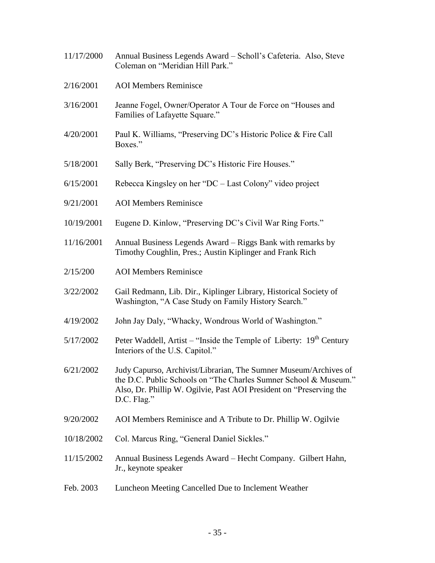11/17/2000 Annual Business Legends Award – Scholl's Cafeteria. Also, Steve Coleman on "Meridian Hill Park." 2/16/2001 AOI Members Reminisce 3/16/2001 Jeanne Fogel, Owner/Operator A Tour de Force on "Houses and Families of Lafayette Square." 4/20/2001 Paul K. Williams, "Preserving DC's Historic Police & Fire Call Boxes." 5/18/2001 Sally Berk, "Preserving DC's Historic Fire Houses." 6/15/2001 Rebecca Kingsley on her "DC – Last Colony" video project 9/21/2001 AOI Members Reminisce 10/19/2001 Eugene D. Kinlow, "Preserving DC's Civil War Ring Forts." 11/16/2001 Annual Business Legends Award – Riggs Bank with remarks by Timothy Coughlin, Pres.; Austin Kiplinger and Frank Rich 2/15/200 AOI Members Reminisce 3/22/2002 Gail Redmann, Lib. Dir., Kiplinger Library, Historical Society of Washington, "A Case Study on Family History Search." 4/19/2002 John Jay Daly, "Whacky, Wondrous World of Washington."  $5/17/2002$  Peter Waddell, Artist – "Inside the Temple of Liberty: 19<sup>th</sup> Century Interiors of the U.S. Capitol." 6/21/2002 Judy Capurso, Archivist/Librarian, The Sumner Museum/Archives of the D.C. Public Schools on "The Charles Sumner School & Museum." Also, Dr. Phillip W. Ogilvie, Past AOI President on "Preserving the D.C. Flag." 9/20/2002 AOI Members Reminisce and A Tribute to Dr. Phillip W. Ogilvie 10/18/2002 Col. Marcus Ring, "General Daniel Sickles." 11/15/2002 Annual Business Legends Award – Hecht Company. Gilbert Hahn, Jr., keynote speaker Feb. 2003 Luncheon Meeting Cancelled Due to Inclement Weather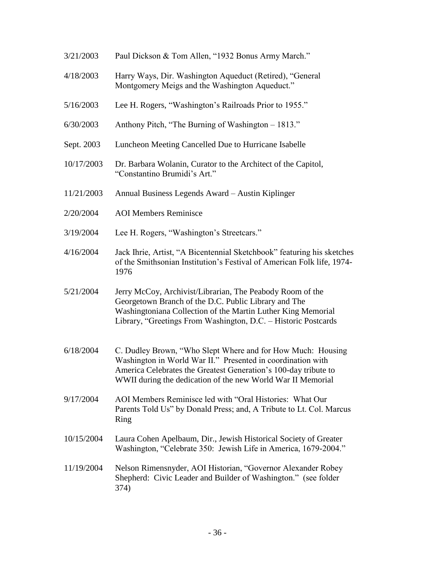3/21/2003 Paul Dickson & Tom Allen, "1932 Bonus Army March." 4/18/2003 Harry Ways, Dir. Washington Aqueduct (Retired), "General Montgomery Meigs and the Washington Aqueduct." 5/16/2003 Lee H. Rogers, "Washington's Railroads Prior to 1955." 6/30/2003 Anthony Pitch, "The Burning of Washington – 1813." Sept. 2003 Luncheon Meeting Cancelled Due to Hurricane Isabelle 10/17/2003 Dr. Barbara Wolanin, Curator to the Architect of the Capitol, "Constantino Brumidi's Art." 11/21/2003 Annual Business Legends Award – Austin Kiplinger 2/20/2004 AOI Members Reminisce 3/19/2004 Lee H. Rogers, "Washington's Streetcars." 4/16/2004 Jack Ihrie, Artist, "A Bicentennial Sketchbook" featuring his sketches of the Smithsonian Institution's Festival of American Folk life, 1974- 1976 5/21/2004 Jerry McCoy, Archivist/Librarian, The Peabody Room of the Georgetown Branch of the D.C. Public Library and The Washingtoniana Collection of the Martin Luther King Memorial Library, "Greetings From Washington, D.C. – Historic Postcards 6/18/2004 C. Dudley Brown, "Who Slept Where and for How Much: Housing Washington in World War II." Presented in coordination with America Celebrates the Greatest Generation's 100-day tribute to WWII during the dedication of the new World War II Memorial 9/17/2004 AOI Members Reminisce led with "Oral Histories: What Our Parents Told Us" by Donald Press; and, A Tribute to Lt. Col. Marcus Ring 10/15/2004 Laura Cohen Apelbaum, Dir., Jewish Historical Society of Greater Washington, "Celebrate 350: Jewish Life in America, 1679-2004." 11/19/2004 Nelson Rimensnyder, AOI Historian, "Governor Alexander Robey Shepherd: Civic Leader and Builder of Washington." (see folder 374)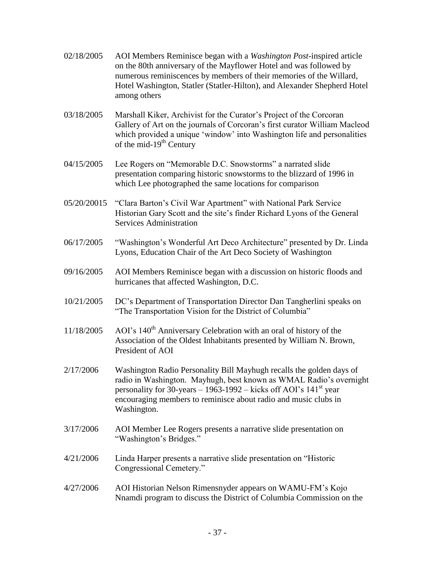| 02/18/2005 | AOI Members Reminisce began with a <i>Washington Post</i> -inspired article<br>on the 80th anniversary of the Mayflower Hotel and was followed by<br>numerous reminiscences by members of their memories of the Willard,<br>Hotel Washington, Statler (Statler-Hilton), and Alexander Shepherd Hotel<br>among others |
|------------|----------------------------------------------------------------------------------------------------------------------------------------------------------------------------------------------------------------------------------------------------------------------------------------------------------------------|
| 03/18/2005 | Marshall Kiker, Archivist for the Curator's Project of the Corcoran<br>Gallery of Art on the journals of Corcoran's first curator William Macleod<br>which provided a unique 'window' into Washington life and personalities<br>of the mid- $19th$ Century                                                           |

- 04/15/2005 Lee Rogers on "Memorable D.C. Snowstorms" a narrated slide presentation comparing historic snowstorms to the blizzard of 1996 in which Lee photographed the same locations for comparison
- 05/20/20015 "Clara Barton's Civil War Apartment" with National Park Service Historian Gary Scott and the site's finder Richard Lyons of the General Services Administration
- 06/17/2005 "Washington's Wonderful Art Deco Architecture" presented by Dr. Linda Lyons, Education Chair of the Art Deco Society of Washington
- 09/16/2005 AOI Members Reminisce began with a discussion on historic floods and hurricanes that affected Washington, D.C.
- 10/21/2005 DC's Department of Transportation Director Dan Tangherlini speaks on "The Transportation Vision for the District of Columbia"
- 11/18/2005 AOI's 140th Anniversary Celebration with an oral of history of the Association of the Oldest Inhabitants presented by William N. Brown, President of AOI
- 2/17/2006 Washington Radio Personality Bill Mayhugh recalls the golden days of radio in Washington. Mayhugh, best known as WMAL Radio's overnight personality for 30-years  $-1963$ -1992 – kicks off AOI's 141<sup>st</sup> year encouraging members to reminisce about radio and music clubs in Washington.
- 3/17/2006 AOI Member Lee Rogers presents a narrative slide presentation on "Washington's Bridges."
- 4/21/2006 Linda Harper presents a narrative slide presentation on "Historic Congressional Cemetery."
- 4/27/2006 AOI Historian Nelson Rimensnyder appears on WAMU-FM's Kojo Nnamdi program to discuss the District of Columbia Commission on the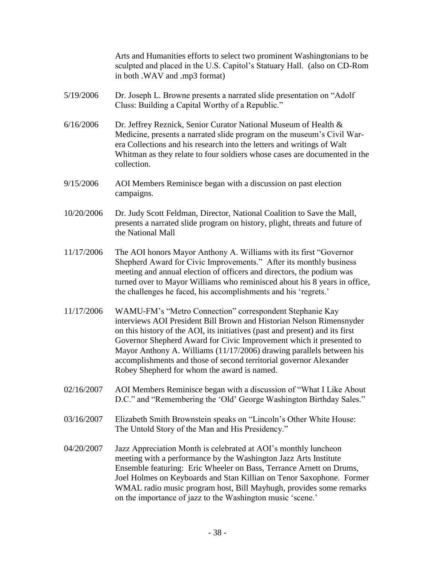Arts and Humanities efforts to select two prominent Washingtonians to be sculpted and placed in the U.S. Capitol's Statuary Hall. (also on CD-Rom in both .WAV and .mp3 format)

- 5/19/2006 Dr. Joseph L. Browne presents a narrated slide presentation on "Adolf Cluss: Building a Capital Worthy of a Republic."
- 6/16/2006 Dr. Jeffrey Reznick, Senior Curator National Museum of Health & Medicine, presents a narrated slide program on the museum's Civil Warera Collections and his research into the letters and writings of Walt Whitman as they relate to four soldiers whose cases are documented in the collection.
- 9/15/2006 AOI Members Reminisce began with a discussion on past election campaigns.
- 10/20/2006 Dr. Judy Scott Feldman, Director, National Coalition to Save the Mall, presents a narrated slide program on history, plight, threats and future of the National Mall
- 11/17/2006 The AOI honors Mayor Anthony A. Williams with its first "Governor Shepherd Award for Civic Improvements." After its monthly business meeting and annual election of officers and directors, the podium was turned over to Mayor Williams who reminisced about his 8 years in office, the challenges he faced, his accomplishments and his 'regrets.'
- 11/17/2006 WAMU-FM's "Metro Connection" correspondent Stephanie Kay interviews AOI President Bill Brown and Historian Nelson Rimensnyder on this history of the AOI, its initiatives (past and present) and its first Governor Shepherd Award for Civic Improvement which it presented to Mayor Anthony A. Williams (11/17/2006) drawing parallels between his accomplishments and those of second territorial governor Alexander Robey Shepherd for whom the award is named.
- 02/16/2007 AOI Members Reminisce began with a discussion of "What I Like About D.C." and "Remembering the 'Old' George Washington Birthday Sales."
- 03/16/2007 Elizabeth Smith Brownstein speaks on "Lincoln's Other White House: The Untold Story of the Man and His Presidency."
- 04/20/2007 Jazz Appreciation Month is celebrated at AOI's monthly luncheon meeting with a performance by the Washington Jazz Arts Institute Ensemble featuring: Eric Wheeler on Bass, Terrance Arnett on Drums, Joel Holmes on Keyboards and Stan Killian on Tenor Saxophone. Former WMAL radio music program host, Bill Mayhugh, provides some remarks on the importance of jazz to the Washington music 'scene.'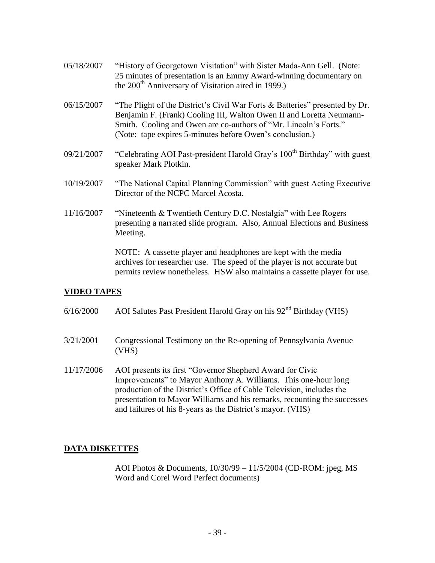| 05/18/2007 | "History of Georgetown Visitation" with Sister Mada-Ann Gell. (Note:<br>25 minutes of presentation is an Emmy Award-winning documentary on<br>the 200 <sup>th</sup> Anniversary of Visitation aired in 1999.)                                                                       |
|------------|-------------------------------------------------------------------------------------------------------------------------------------------------------------------------------------------------------------------------------------------------------------------------------------|
| 06/15/2007 | "The Plight of the District's Civil War Forts & Batteries" presented by Dr.<br>Benjamin F. (Frank) Cooling III, Walton Owen II and Loretta Neumann-<br>Smith. Cooling and Owen are co-authors of "Mr. Lincoln's Forts."<br>(Note: tape expires 5-minutes before Owen's conclusion.) |
| 09/21/2007 | "Celebrating AOI Past-president Harold Gray's 100 <sup>th</sup> Birthday" with guest<br>speaker Mark Plotkin.                                                                                                                                                                       |
| 10/19/2007 | "The National Capital Planning Commission" with guest Acting Executive<br>Director of the NCPC Marcel Acosta.                                                                                                                                                                       |
| 11/16/2007 | "Nineteenth & Twentieth Century D.C. Nostalgia" with Lee Rogers<br>presenting a narrated slide program. Also, Annual Elections and Business<br>Meeting.                                                                                                                             |

NOTE: A cassette player and headphones are kept with the media archives for researcher use. The speed of the player is not accurate but permits review nonetheless. HSW also maintains a cassette player for use.

## <span id="page-38-0"></span>**VIDEO TAPES**

- $6/16/2000$  AOI Salutes Past President Harold Gray on his  $92<sup>nd</sup>$  Birthday (VHS)
- 3/21/2001 Congressional Testimony on the Re-opening of Pennsylvania Avenue (VHS)
- 11/17/2006 AOI presents its first "Governor Shepherd Award for Civic Improvements" to Mayor Anthony A. Williams. This one-hour long production of the District's Office of Cable Television, includes the presentation to Mayor Williams and his remarks, recounting the successes and failures of his 8-years as the District's mayor. (VHS)

## <span id="page-38-1"></span>**DATA DISKETTES**

AOI Photos & Documents, 10/30/99 – 11/5/2004 (CD-ROM: jpeg, MS Word and Corel Word Perfect documents)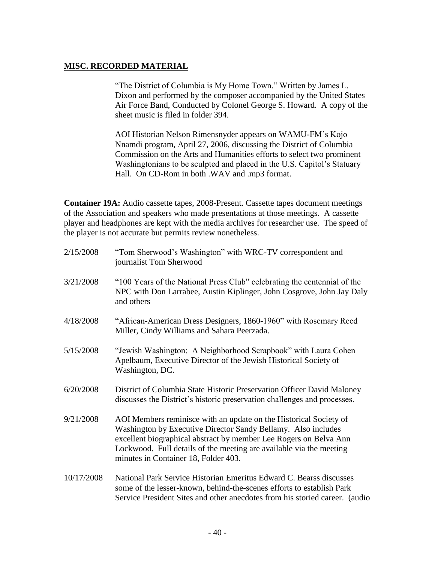## <span id="page-39-0"></span>**MISC. RECORDED MATERIAL**

"The District of Columbia is My Home Town." Written by James L. Dixon and performed by the composer accompanied by the United States Air Force Band, Conducted by Colonel George S. Howard. A copy of the sheet music is filed in folder 394.

AOI Historian Nelson Rimensnyder appears on WAMU-FM's Kojo Nnamdi program, April 27, 2006, discussing the District of Columbia Commission on the Arts and Humanities efforts to select two prominent Washingtonians to be sculpted and placed in the U.S. Capitol's Statuary Hall. On CD-Rom in both .WAV and .mp3 format.

**Container 19A:** Audio cassette tapes, 2008**-**Present. Cassette tapes document meetings of the Association and speakers who made presentations at those meetings. A cassette player and headphones are kept with the media archives for researcher use. The speed of the player is not accurate but permits review nonetheless.

| 2/15/2008  | "Tom Sherwood's Washington" with WRC-TV correspondent and<br>journalist Tom Sherwood                                                                                                                                                                                                                                   |
|------------|------------------------------------------------------------------------------------------------------------------------------------------------------------------------------------------------------------------------------------------------------------------------------------------------------------------------|
| 3/21/2008  | "100 Years of the National Press Club" celebrating the centennial of the<br>NPC with Don Larrabee, Austin Kiplinger, John Cosgrove, John Jay Daly<br>and others                                                                                                                                                        |
| 4/18/2008  | "African-American Dress Designers, 1860-1960" with Rosemary Reed<br>Miller, Cindy Williams and Sahara Peerzada.                                                                                                                                                                                                        |
| 5/15/2008  | "Jewish Washington: A Neighborhood Scrapbook" with Laura Cohen<br>Apelbaum, Executive Director of the Jewish Historical Society of<br>Washington, DC.                                                                                                                                                                  |
| 6/20/2008  | District of Columbia State Historic Preservation Officer David Maloney<br>discusses the District's historic preservation challenges and processes.                                                                                                                                                                     |
| 9/21/2008  | AOI Members reminisce with an update on the Historical Society of<br>Washington by Executive Director Sandy Bellamy. Also includes<br>excellent biographical abstract by member Lee Rogers on Belva Ann<br>Lockwood. Full details of the meeting are available via the meeting<br>minutes in Container 18, Folder 403. |
| 10/17/2008 | National Park Service Historian Emeritus Edward C. Bearss discusses<br>some of the lesser-known, behind-the-scenes efforts to establish Park<br>Service President Sites and other anecdotes from his storied career. (audio                                                                                            |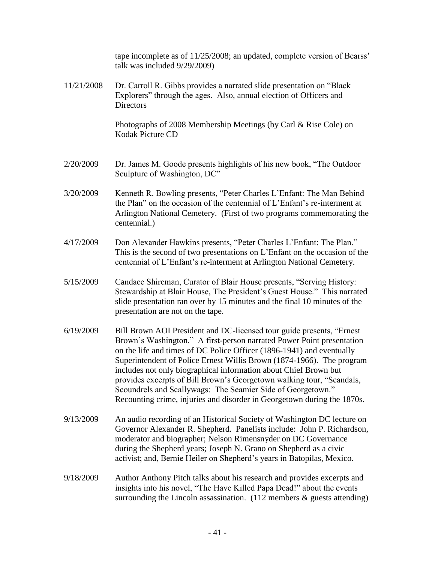|            | tape incomplete as of 11/25/2008; an updated, complete version of Bearss'<br>talk was included 9/29/2009)                                                                                                                                                                                                                                                                                                                                                                                                                                                                                |
|------------|------------------------------------------------------------------------------------------------------------------------------------------------------------------------------------------------------------------------------------------------------------------------------------------------------------------------------------------------------------------------------------------------------------------------------------------------------------------------------------------------------------------------------------------------------------------------------------------|
| 11/21/2008 | Dr. Carroll R. Gibbs provides a narrated slide presentation on "Black"<br>Explorers" through the ages. Also, annual election of Officers and<br><b>Directors</b>                                                                                                                                                                                                                                                                                                                                                                                                                         |
|            | Photographs of 2008 Membership Meetings (by Carl & Rise Cole) on<br><b>Kodak Picture CD</b>                                                                                                                                                                                                                                                                                                                                                                                                                                                                                              |
| 2/20/2009  | Dr. James M. Goode presents highlights of his new book, "The Outdoor"<br>Sculpture of Washington, DC"                                                                                                                                                                                                                                                                                                                                                                                                                                                                                    |
| 3/20/2009  | Kenneth R. Bowling presents, "Peter Charles L'Enfant: The Man Behind<br>the Plan" on the occasion of the centennial of L'Enfant's re-interment at<br>Arlington National Cemetery. (First of two programs commemorating the<br>centennial.)                                                                                                                                                                                                                                                                                                                                               |
| 4/17/2009  | Don Alexander Hawkins presents, "Peter Charles L'Enfant: The Plan."<br>This is the second of two presentations on L'Enfant on the occasion of the<br>centennial of L'Enfant's re-interment at Arlington National Cemetery.                                                                                                                                                                                                                                                                                                                                                               |
| 5/15/2009  | Candace Shireman, Curator of Blair House presents, "Serving History:<br>Stewardship at Blair House, The President's Guest House." This narrated<br>slide presentation ran over by 15 minutes and the final 10 minutes of the<br>presentation are not on the tape.                                                                                                                                                                                                                                                                                                                        |
| 6/19/2009  | Bill Brown AOI President and DC-licensed tour guide presents, "Ernest"<br>Brown's Washington." A first-person narrated Power Point presentation<br>on the life and times of DC Police Officer (1896-1941) and eventually<br>Superintendent of Police Ernest Willis Brown (1874-1966). The program<br>includes not only biographical information about Chief Brown but<br>provides excerpts of Bill Brown's Georgetown walking tour, "Scandals,<br>Scoundrels and Scallywags: The Seamier Side of Georgetown."<br>Recounting crime, injuries and disorder in Georgetown during the 1870s. |
| 9/13/2009  | An audio recording of an Historical Society of Washington DC lecture on<br>Governor Alexander R. Shepherd. Panelists include: John P. Richardson,<br>moderator and biographer; Nelson Rimensnyder on DC Governance<br>during the Shepherd years; Joseph N. Grano on Shepherd as a civic<br>activist; and, Bernie Heiler on Shepherd's years in Batopilas, Mexico.                                                                                                                                                                                                                        |
| 9/18/2009  | Author Anthony Pitch talks about his research and provides excerpts and<br>insights into his novel, "The Have Killed Papa Dead!" about the events<br>surrounding the Lincoln assassination. $(112$ members $\&$ guests attending)                                                                                                                                                                                                                                                                                                                                                        |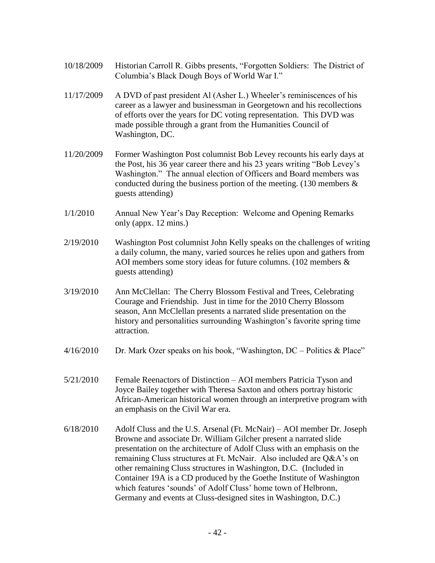- 10/18/2009 Historian Carroll R. Gibbs presents, "Forgotten Soldiers: The District of Columbia's Black Dough Boys of World War I."
- 11/17/2009 A DVD of past president Al (Asher L.) Wheeler's reminiscences of his career as a lawyer and businessman in Georgetown and his recollections of efforts over the years for DC voting representation. This DVD was made possible through a grant from the Humanities Council of Washington, DC.
- 11/20/2009 Former Washington Post columnist Bob Levey recounts his early days at the Post, his 36 year career there and his 23 years writing "Bob Levey's Washington." The annual election of Officers and Board members was conducted during the business portion of the meeting. (130 members & guests attending)
- 1/1/2010 Annual New Year's Day Reception: Welcome and Opening Remarks only (appx. 12 mins.)
- 2/19/2010 Washington Post columnist John Kelly speaks on the challenges of writing a daily column, the many, varied sources he relies upon and gathers from AOI members some story ideas for future columns. (102 members & guests attending)
- 3/19/2010 Ann McClellan: The Cherry Blossom Festival and Trees, Celebrating Courage and Friendship. Just in time for the 2010 Cherry Blossom season, Ann McClellan presents a narrated slide presentation on the history and personalities surrounding Washington's favorite spring time attraction.
- $4/16/2010$  Dr. Mark Ozer speaks on his book, "Washington, DC Politics & Place"
- 5/21/2010 Female Reenactors of Distinction AOI members Patricia Tyson and Joyce Bailey together with Theresa Saxton and others portray historic African-American historical women through an interpretive program with an emphasis on the Civil War era.
- 6/18/2010 Adolf Cluss and the U.S. Arsenal (Ft. McNair) AOI member Dr. Joseph Browne and associate Dr. William Gilcher present a narrated slide presentation on the architecture of Adolf Cluss with an emphasis on the remaining Cluss structures at Ft. McNair. Also included are Q&A's on other remaining Cluss structures in Washington, D.C. (Included in Container 19A is a CD produced by the Goethe Institute of Washington which features 'sounds' of Adolf Cluss' home town of Helbronn, Germany and events at Cluss-designed sites in Washington, D.C.)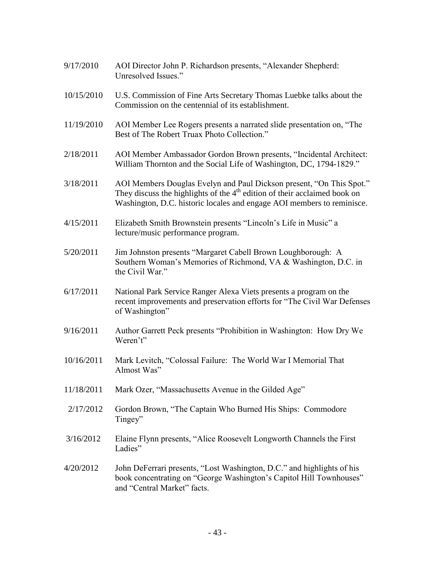| 9/17/2010  | AOI Director John P. Richardson presents, "Alexander Shepherd:<br>Unresolved Issues."                                                                                                                                         |
|------------|-------------------------------------------------------------------------------------------------------------------------------------------------------------------------------------------------------------------------------|
| 10/15/2010 | U.S. Commission of Fine Arts Secretary Thomas Luebke talks about the<br>Commission on the centennial of its establishment.                                                                                                    |
| 11/19/2010 | AOI Member Lee Rogers presents a narrated slide presentation on, "The<br>Best of The Robert Truax Photo Collection."                                                                                                          |
| 2/18/2011  | AOI Member Ambassador Gordon Brown presents, "Incidental Architect:<br>William Thornton and the Social Life of Washington, DC, 1794-1829."                                                                                    |
| 3/18/2011  | AOI Members Douglas Evelyn and Paul Dickson present, "On This Spot."<br>They discuss the highlights of the $4th$ edition of their acclaimed book on<br>Washington, D.C. historic locales and engage AOI members to reminisce. |
| 4/15/2011  | Elizabeth Smith Brownstein presents "Lincoln's Life in Music" a<br>lecture/music performance program.                                                                                                                         |
| 5/20/2011  | Jim Johnston presents "Margaret Cabell Brown Loughborough: A<br>Southern Woman's Memories of Richmond, VA & Washington, D.C. in<br>the Civil War."                                                                            |
| 6/17/2011  | National Park Service Ranger Alexa Viets presents a program on the<br>recent improvements and preservation efforts for "The Civil War Defenses"<br>of Washington"                                                             |
| 9/16/2011  | Author Garrett Peck presents "Prohibition in Washington: How Dry We<br>Weren't"                                                                                                                                               |
| 10/16/2011 | Mark Levitch, "Colossal Failure: The World War I Memorial That<br>Almost Was"                                                                                                                                                 |
| 11/18/2011 | Mark Ozer, "Massachusetts Avenue in the Gilded Age"                                                                                                                                                                           |
| 2/17/2012  | Gordon Brown, "The Captain Who Burned His Ships: Commodore<br>Tingey"                                                                                                                                                         |
| 3/16/2012  | Elaine Flynn presents, "Alice Roosevelt Longworth Channels the First<br>Ladies"                                                                                                                                               |
| 4/20/2012  | John DeFerrari presents, "Lost Washington, D.C." and highlights of his<br>book concentrating on "George Washington's Capitol Hill Townhouses"<br>and "Central Market" facts.                                                  |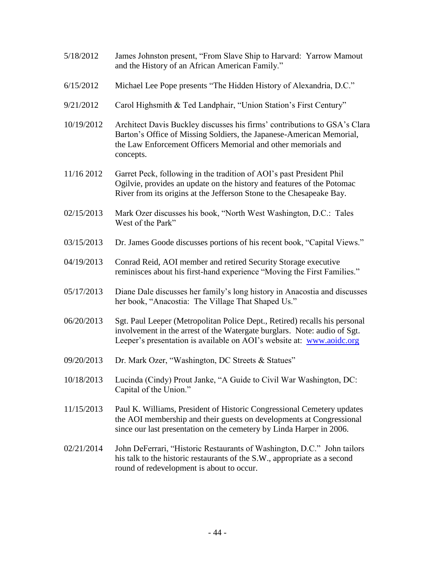- 5/18/2012 James Johnston present, "From Slave Ship to Harvard: Yarrow Mamout and the History of an African American Family."
- 6/15/2012 Michael Lee Pope presents "The Hidden History of Alexandria, D.C."
- 9/21/2012 Carol Highsmith & Ted Landphair, "Union Station's First Century"
- 10/19/2012 Architect Davis Buckley discusses his firms' contributions to GSA's Clara Barton's Office of Missing Soldiers, the Japanese-American Memorial, the Law Enforcement Officers Memorial and other memorials and concepts.
- 11/16 2012 Garret Peck, following in the tradition of AOI's past President Phil Ogilvie, provides an update on the history and features of the Potomac River from its origins at the Jefferson Stone to the Chesapeake Bay.
- 02/15/2013 Mark Ozer discusses his book, "North West Washington, D.C.: Tales West of the Park"
- 03/15/2013 Dr. James Goode discusses portions of his recent book, "Capital Views."
- 04/19/2013 Conrad Reid, AOI member and retired Security Storage executive reminisces about his first-hand experience "Moving the First Families."
- 05/17/2013 Diane Dale discusses her family's long history in Anacostia and discusses her book, "Anacostia: The Village That Shaped Us."
- 06/20/2013 Sgt. Paul Leeper (Metropolitan Police Dept., Retired) recalls his personal involvement in the arrest of the Watergate burglars. Note: audio of Sgt. Leeper's presentation is available on AOI's website at: [www.aoidc.org](http://www.aoidc.org/)
- 09/20/2013 Dr. Mark Ozer, "Washington, DC Streets & Statues"
- 10/18/2013 Lucinda (Cindy) Prout Janke, "A Guide to Civil War Washington, DC: Capital of the Union."
- 11/15/2013 Paul K. Williams, President of Historic Congressional Cemetery updates the AOI membership and their guests on developments at Congressional since our last presentation on the cemetery by Linda Harper in 2006.
- 02/21/2014 John DeFerrari, "Historic Restaurants of Washington, D.C." John tailors his talk to the historic restaurants of the S.W., appropriate as a second round of redevelopment is about to occur.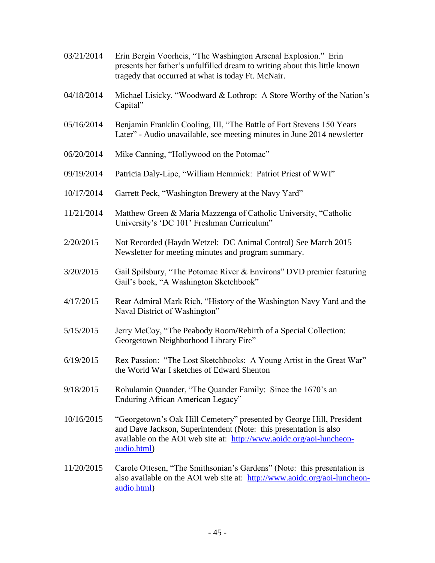03/21/2014 Erin Bergin Voorheis, "The Washington Arsenal Explosion." Erin presents her father's unfulfilled dream to writing about this little known tragedy that occurred at what is today Ft. McNair. 04/18/2014 Michael Lisicky, "Woodward & Lothrop: A Store Worthy of the Nation's Capital" 05/16/2014 Benjamin Franklin Cooling, III, "The Battle of Fort Stevens 150 Years Later" - Audio unavailable, see meeting minutes in June 2014 newsletter 06/20/2014 Mike Canning, "Hollywood on the Potomac" 09/19/2014 Patricia Daly-Lipe, "William Hemmick: Patriot Priest of WWI" 10/17/2014 Garrett Peck, "Washington Brewery at the Navy Yard" 11/21/2014 Matthew Green & Maria Mazzenga of Catholic University, "Catholic University's 'DC 101' Freshman Curriculum" 2/20/2015 Not Recorded (Haydn Wetzel: DC Animal Control) See March 2015 Newsletter for meeting minutes and program summary. 3/20/2015 Gail Spilsbury, "The Potomac River & Environs" DVD premier featuring Gail's book, "A Washington Sketchbook" 4/17/2015 Rear Admiral Mark Rich, "History of the Washington Navy Yard and the Naval District of Washington" 5/15/2015 Jerry McCoy, "The Peabody Room**/**Rebirth of a Special Collection: Georgetown Neighborhood Library Fire" 6/19/2015 Rex Passion: "The Lost Sketchbooks: A Young Artist in the Great War" the World War I sketches of Edward Shenton 9/18/2015 Rohulamin Quander, "The Quander Family: Since the 1670's an Enduring African American Legacy" 10/16/2015 "Georgetown's Oak Hill Cemetery" presented by George Hill, President and Dave Jackson, Superintendent (Note: this presentation is also available on the AOI web site at: [http://www.aoidc.org/aoi-luncheon](http://www.aoidc.org/aoi-luncheon-audio.html)[audio.html\)](http://www.aoidc.org/aoi-luncheon-audio.html) 11/20/2015 Carole Ottesen, "The Smithsonian's Gardens" (Note: this presentation is also available on the AOI web site at: [http://www.aoidc.org/aoi-luncheon](http://www.aoidc.org/aoi-luncheon-audio.html)[audio.html\)](http://www.aoidc.org/aoi-luncheon-audio.html)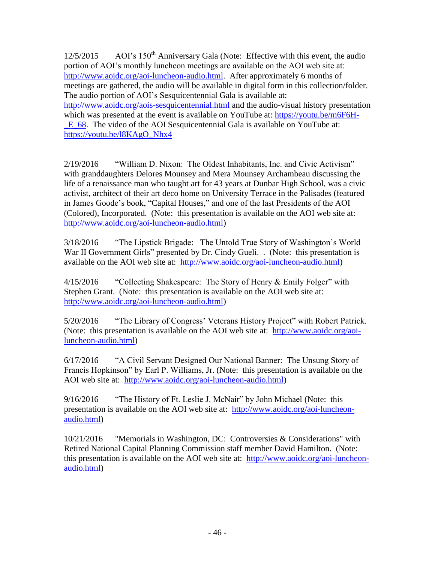12/5/2015 AOI's 150<sup>th</sup> Anniversary Gala (Note: Effective with this event, the audio portion of AOI's monthly luncheon meetings are available on the AOI web site at: [http://www.aoidc.org/aoi-luncheon-audio.html.](http://www.aoidc.org/aoi-luncheon-audio.html) After approximately 6 months of meetings are gathered, the audio will be available in digital form in this collection/folder. The audio portion of AOI's Sesquicentennial Gala is available at: <http://www.aoidc.org/aois-sesquicentennial.html> and the audio-visual history presentation

which was presented at the event is available on YouTube at: [https://youtu.be/m6F6H-](https://youtu.be/m6F6H-_E_68) [\\_E\\_68.](https://youtu.be/m6F6H-_E_68) The video of the AOI Sesquicentennial Gala is available on YouTube at: [https://youtu.be/l8KAgO\\_Nhx4](https://youtu.be/l8KAgO_Nhx4)

2/19/2016 "William D. Nixon: The Oldest Inhabitants, Inc. and Civic Activism" with granddaughters Delores Mounsey and Mera Mounsey Archambeau discussing the life of a renaissance man who taught art for 43 years at Dunbar High School, was a civic activist, architect of their art deco home on University Terrace in the Palisades (featured in James Goode's book, "Capital Houses," and one of the last Presidents of the AOI (Colored), Incorporated. (Note: this presentation is available on the AOI web site at: [http://www.aoidc.org/aoi-luncheon-audio.html\)](http://www.aoidc.org/aoi-luncheon-audio.html)

3/18/2016 "The Lipstick Brigade: The Untold True Story of Washington's World War II Government Girls" presented by Dr. Cindy Gueli. . (Note: this presentation is available on the AOI web site at: [http://www.aoidc.org/aoi-luncheon-audio.html\)](http://www.aoidc.org/aoi-luncheon-audio.html)

4/15/2016 "Collecting Shakespeare: The Story of Henry & Emily Folger" with Stephen Grant. (Note: this presentation is available on the AOI web site at: [http://www.aoidc.org/aoi-luncheon-audio.html\)](http://www.aoidc.org/aoi-luncheon-audio.html)

5/20/2016 "The Library of Congress' Veterans History Project" with Robert Patrick. (Note: this presentation is available on the AOI web site at: [http://www.aoidc.org/aoi](http://www.aoidc.org/aoi-luncheon-audio.html)[luncheon-audio.html\)](http://www.aoidc.org/aoi-luncheon-audio.html)

6/17/2016 "A Civil Servant Designed Our National Banner: The Unsung Story of Francis Hopkinson" by Earl P. Williams, Jr. (Note: this presentation is available on the AOI web site at: [http://www.aoidc.org/aoi-luncheon-audio.html\)](http://www.aoidc.org/aoi-luncheon-audio.html)

9/16/2016 "The History of Ft. Leslie J. McNair" by John Michael (Note: this presentation is available on the AOI web site at: [http://www.aoidc.org/aoi-luncheon](http://www.aoidc.org/aoi-luncheon-audio.html)[audio.html\)](http://www.aoidc.org/aoi-luncheon-audio.html)

10/21/2016 "Memorials in Washington, DC: Controversies & Considerations" with Retired National Capital Planning Commission staff member David Hamilton. (Note: this presentation is available on the AOI web site at: [http://www.aoidc.org/aoi-luncheon](http://www.aoidc.org/aoi-luncheon-audio.html)[audio.html\)](http://www.aoidc.org/aoi-luncheon-audio.html)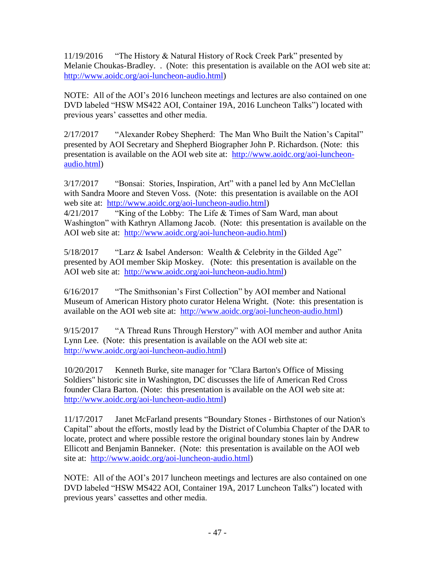11/19/2016 "The History & Natural History of Rock Creek Park" presented by Melanie Choukas-Bradley. . (Note: this presentation is available on the AOI web site at: [http://www.aoidc.org/aoi-luncheon-audio.html\)](http://www.aoidc.org/aoi-luncheon-audio.html)

NOTE: All of the AOI's 2016 luncheon meetings and lectures are also contained on one DVD labeled "HSW MS422 AOI, Container 19A, 2016 Luncheon Talks") located with previous years' cassettes and other media.

2/17/2017 "Alexander Robey Shepherd: The Man Who Built the Nation's Capital" presented by AOI Secretary and Shepherd Biographer John P. Richardson. (Note: this presentation is available on the AOI web site at: [http://www.aoidc.org/aoi-luncheon](http://www.aoidc.org/aoi-luncheon-audio.html)[audio.html\)](http://www.aoidc.org/aoi-luncheon-audio.html)

3/17/2017 "Bonsai: Stories, Inspiration, Art" with a panel led by Ann McClellan with Sandra Moore and Steven Voss. (Note: this presentation is available on the AOI web site at: [http://www.aoidc.org/aoi-luncheon-audio.html\)](http://www.aoidc.org/aoi-luncheon-audio.html) 4/21/2017 "King of the Lobby: The Life & Times of Sam Ward, man about Washington" with Kathryn Allamong Jacob. (Note: this presentation is available on the AOI web site at: [http://www.aoidc.org/aoi-luncheon-audio.html\)](http://www.aoidc.org/aoi-luncheon-audio.html)

5/18/2017 "Larz & Isabel Anderson: Wealth & Celebrity in the Gilded Age" presented by AOI member Skip Moskey. (Note: this presentation is available on the AOI web site at: [http://www.aoidc.org/aoi-luncheon-audio.html\)](http://www.aoidc.org/aoi-luncheon-audio.html)

6/16/2017 "The Smithsonian's First Collection" by AOI member and National Museum of American History photo curator Helena Wright. (Note: this presentation is available on the AOI web site at: [http://www.aoidc.org/aoi-luncheon-audio.html\)](http://www.aoidc.org/aoi-luncheon-audio.html)

9/15/2017 "A Thread Runs Through Herstory" with AOI member and author Anita Lynn Lee. (Note: this presentation is available on the AOI web site at: [http://www.aoidc.org/aoi-luncheon-audio.html\)](http://www.aoidc.org/aoi-luncheon-audio.html)

10/20/2017 Kenneth Burke, site manager for "Clara Barton's Office of Missing Soldiers" historic site in Washington, DC discusses the life of American Red Cross founder Clara Barton. (Note: this presentation is available on the AOI web site at: [http://www.aoidc.org/aoi-luncheon-audio.html\)](http://www.aoidc.org/aoi-luncheon-audio.html)

11/17/2017 Janet McFarland presents "Boundary Stones - Birthstones of our Nation's Capital" about the efforts, mostly lead by the District of Columbia Chapter of the DAR to locate, protect and where possible restore the original boundary stones lain by Andrew Ellicott and Benjamin Banneker. (Note: this presentation is available on the AOI web site at: [http://www.aoidc.org/aoi-luncheon-audio.html\)](http://www.aoidc.org/aoi-luncheon-audio.html)

NOTE: All of the AOI's 2017 luncheon meetings and lectures are also contained on one DVD labeled "HSW MS422 AOI, Container 19A, 2017 Luncheon Talks") located with previous years' cassettes and other media.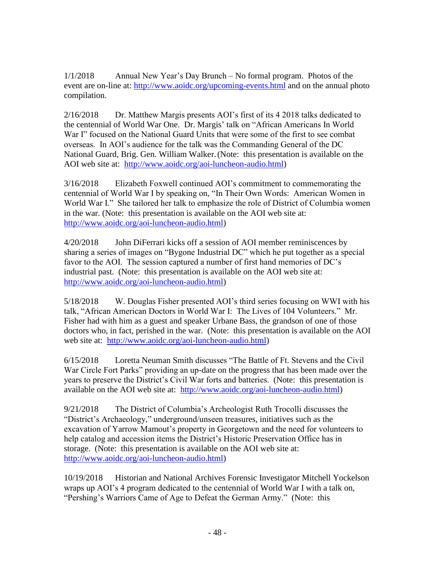1/1/2018 Annual New Year's Day Brunch – No formal program. Photos of the event are on-line at: <http://www.aoidc.org/upcoming-events.html> and on the annual photo compilation.

2/16/2018 Dr. Matthew Margis presents AOI's first of its 4 2018 talks dedicated to the centennial of World War One. Dr. Margis' talk on "African Americans In World War I" focused on the National Guard Units that were some of the first to see combat overseas. In AOI's audience for the talk was the Commanding General of the DC National Guard, Brig. Gen. William Walker.(Note: this presentation is available on the AOI web site at: [http://www.aoidc.org/aoi-luncheon-audio.html\)](http://www.aoidc.org/aoi-luncheon-audio.html)

3/16/2018 Elizabeth Foxwell continued AOI's commitment to commemorating the centennial of World War I by speaking on, "In Their Own Words: American Women in World War I." She tailored her talk to emphasize the role of District of Columbia women in the war. (Note: this presentation is available on the AOI web site at: [http://www.aoidc.org/aoi-luncheon-audio.html\)](http://www.aoidc.org/aoi-luncheon-audio.html)

4/20/2018 John DiFerrari kicks off a session of AOI member reminiscences by sharing a series of images on "Bygone Industrial DC" which he put together as a special favor to the AOI. The session captured a number of first hand memories of DC's industrial past. (Note: this presentation is available on the AOI web site at: [http://www.aoidc.org/aoi-luncheon-audio.html\)](http://www.aoidc.org/aoi-luncheon-audio.html)

5/18/2018 W. Douglas Fisher presented AOI's third series focusing on WWI with his talk, "African American Doctors in World War I: The Lives of 104 Volunteers." Mr. Fisher had with him as a guest and speaker Urbane Bass, the grandson of one of those doctors who, in fact, perished in the war. (Note: this presentation is available on the AOI web site at: [http://www.aoidc.org/aoi-luncheon-audio.html\)](http://www.aoidc.org/aoi-luncheon-audio.html)

6/15/2018 Loretta Neuman Smith discusses "The Battle of Ft. Stevens and the Civil War Circle Fort Parks" providing an up-date on the progress that has been made over the years to preserve the District's Civil War forts and batteries. (Note: this presentation is available on the AOI web site at: [http://www.aoidc.org/aoi-luncheon-audio.html\)](http://www.aoidc.org/aoi-luncheon-audio.html)

9/21/2018 The District of Columbia's Archeologist Ruth Trocolli discusses the "District's Archaeology," underground/unseen treasures, initiatives such as the excavation of Yarrow Mamout's property in Georgetown and the need for volunteers to help catalog and accession items the District's Historic Preservation Office has in storage. (Note: this presentation is available on the AOI web site at: [http://www.aoidc.org/aoi-luncheon-audio.html\)](http://www.aoidc.org/aoi-luncheon-audio.html)

10/19/2018 Historian and National Archives Forensic Investigator Mitchell Yockelson wraps up AOI's 4 program dedicated to the centennial of World War I with a talk on, "Pershing's Warriors Came of Age to Defeat the German Army." (Note: this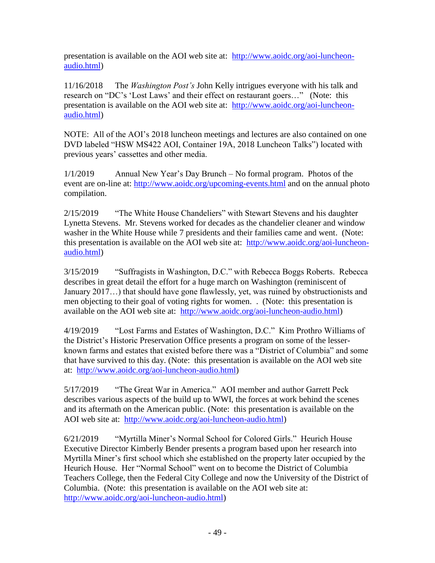presentation is available on the AOI web site at: [http://www.aoidc.org/aoi-luncheon](http://www.aoidc.org/aoi-luncheon-audio.html)[audio.html\)](http://www.aoidc.org/aoi-luncheon-audio.html)

11/16/2018 The *Washington Post's* John Kelly intrigues everyone with his talk and research on "DC's 'Lost Laws' and their effect on restaurant goers…" (Note: this presentation is available on the AOI web site at: [http://www.aoidc.org/aoi-luncheon](http://www.aoidc.org/aoi-luncheon-audio.html)[audio.html\)](http://www.aoidc.org/aoi-luncheon-audio.html)

NOTE: All of the AOI's 2018 luncheon meetings and lectures are also contained on one DVD labeled "HSW MS422 AOI, Container 19A, 2018 Luncheon Talks") located with previous years' cassettes and other media.

1/1/2019 Annual New Year's Day Brunch – No formal program. Photos of the event are on-line at:<http://www.aoidc.org/upcoming-events.html> and on the annual photo compilation.

2/15/2019 "The White House Chandeliers" with Stewart Stevens and his daughter Lynetta Stevens. Mr. Stevens worked for decades as the chandelier cleaner and window washer in the White House while 7 presidents and their families came and went. (Note: this presentation is available on the AOI web site at: [http://www.aoidc.org/aoi-luncheon](http://www.aoidc.org/aoi-luncheon-audio.html)[audio.html\)](http://www.aoidc.org/aoi-luncheon-audio.html)

3/15/2019 "Suffragists in Washington, D.C." with Rebecca Boggs Roberts. Rebecca describes in great detail the effort for a huge march on Washington (reminiscent of January 2017…) that should have gone flawlessly, yet, was ruined by obstructionists and men objecting to their goal of voting rights for women. . (Note: this presentation is available on the AOI web site at: [http://www.aoidc.org/aoi-luncheon-audio.html\)](http://www.aoidc.org/aoi-luncheon-audio.html)

4/19/2019 "Lost Farms and Estates of Washington, D.C." Kim Prothro Williams of the District's Historic Preservation Office presents a program on some of the lesserknown farms and estates that existed before there was a "District of Columbia" and some that have survived to this day. (Note: this presentation is available on the AOI web site at: [http://www.aoidc.org/aoi-luncheon-audio.html\)](http://www.aoidc.org/aoi-luncheon-audio.html)

5/17/2019 "The Great War in America." AOI member and author Garrett Peck describes various aspects of the build up to WWI, the forces at work behind the scenes and its aftermath on the American public. (Note: this presentation is available on the AOI web site at: [http://www.aoidc.org/aoi-luncheon-audio.html\)](http://www.aoidc.org/aoi-luncheon-audio.html)

6/21/2019 "Myrtilla Miner's Normal School for Colored Girls." Heurich House Executive Director Kimberly Bender presents a program based upon her research into Myrtilla Miner's first school which she established on the property later occupied by the Heurich House. Her "Normal School" went on to become the District of Columbia Teachers College, then the Federal City College and now the University of the District of Columbia. (Note: this presentation is available on the AOI web site at: [http://www.aoidc.org/aoi-luncheon-audio.html\)](http://www.aoidc.org/aoi-luncheon-audio.html)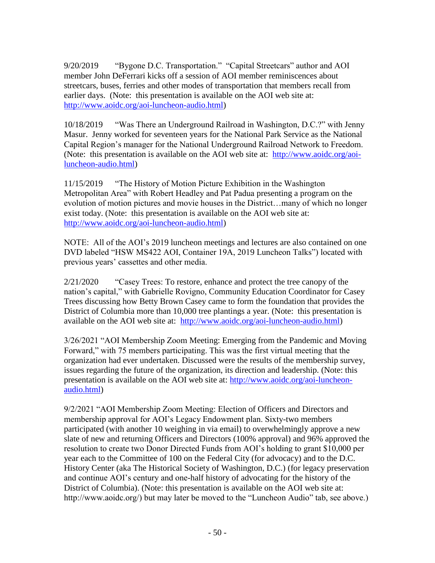9/20/2019 "Bygone D.C. Transportation." "Capital Streetcars" author and AOI member John DeFerrari kicks off a session of AOI member reminiscences about streetcars, buses, ferries and other modes of transportation that members recall from earlier days. (Note: this presentation is available on the AOI web site at: [http://www.aoidc.org/aoi-luncheon-audio.html\)](http://www.aoidc.org/aoi-luncheon-audio.html)

10/18/2019 "Was There an Underground Railroad in Washington, D.C.?" with Jenny Masur. Jenny worked for seventeen years for the National Park Service as the National Capital Region's manager for the National Underground Railroad Network to Freedom. (Note: this presentation is available on the AOI web site at: [http://www.aoidc.org/aoi](http://www.aoidc.org/aoi-luncheon-audio.html)[luncheon-audio.html\)](http://www.aoidc.org/aoi-luncheon-audio.html)

11/15/2019 "The History of Motion Picture Exhibition in the Washington Metropolitan Area" with Robert Headley and Pat Padua presenting a program on the evolution of motion pictures and movie houses in the District…many of which no longer exist today. (Note: this presentation is available on the AOI web site at: [http://www.aoidc.org/aoi-luncheon-audio.html\)](http://www.aoidc.org/aoi-luncheon-audio.html)

NOTE: All of the AOI's 2019 luncheon meetings and lectures are also contained on one DVD labeled "HSW MS422 AOI, Container 19A, 2019 Luncheon Talks") located with previous years' cassettes and other media.

2/21/2020 "Casey Trees: To restore, enhance and protect the tree canopy of the nation's capital," with Gabrielle Rovigno, Community Education Coordinator for Casey Trees discussing how Betty Brown Casey came to form the foundation that provides the District of Columbia more than 10,000 tree plantings a year. (Note: this presentation is available on the AOI web site at: [http://www.aoidc.org/aoi-luncheon-audio.html\)](http://www.aoidc.org/aoi-luncheon-audio.html)

3/26/2021 "AOI Membership Zoom Meeting: Emerging from the Pandemic and Moving Forward," with 75 members participating. This was the first virtual meeting that the organization had ever undertaken. Discussed were the results of the membership survey, issues regarding the future of the organization, its direction and leadership. (Note: this presentation is available on the AOI web site at: [http://www.aoidc.org/aoi-luncheon](http://www.aoidc.org/aoi-luncheon-audio.html)[audio.html\)](http://www.aoidc.org/aoi-luncheon-audio.html)

9/2/2021 "AOI Membership Zoom Meeting: Election of Officers and Directors and membership approval for AOI's Legacy Endowment plan. Sixty-two members participated (with another 10 weighing in via email) to overwhelmingly approve a new slate of new and returning Officers and Directors (100% approval) and 96% approved the resolution to create two Donor Directed Funds from AOI's holding to grant \$10,000 per year each to the Committee of 100 on the Federal City (for advocacy) and to the D.C. History Center (aka The Historical Society of Washington, D.C.) (for legacy preservation and continue AOI's century and one-half history of advocating for the history of the District of Columbia). (Note: this presentation is available on the AOI web site at: http://www.aoidc.org/) but may later be moved to the "Luncheon Audio" tab, see above.)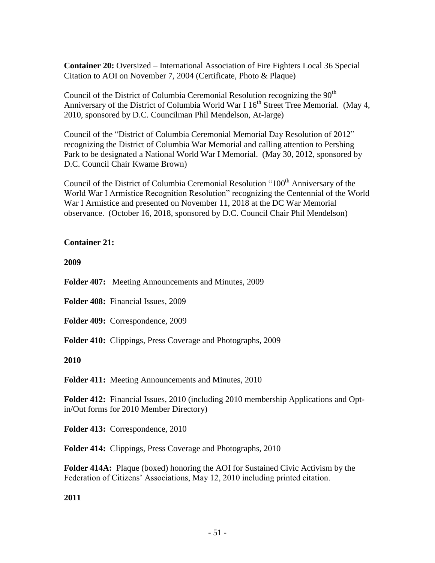**Container 20:** Oversized – International Association of Fire Fighters Local 36 Special Citation to AOI on November 7, 2004 (Certificate, Photo & Plaque)

Council of the District of Columbia Ceremonial Resolution recognizing the 90<sup>th</sup> Anniversary of the District of Columbia World War I  $16<sup>th</sup>$  Street Tree Memorial. (May 4, 2010, sponsored by D.C. Councilman Phil Mendelson, At-large)

Council of the "District of Columbia Ceremonial Memorial Day Resolution of 2012" recognizing the District of Columbia War Memorial and calling attention to Pershing Park to be designated a National World War I Memorial. (May 30, 2012, sponsored by D.C. Council Chair Kwame Brown)

Council of the District of Columbia Ceremonial Resolution "100<sup>th</sup> Anniversary of the World War I Armistice Recognition Resolution" recognizing the Centennial of the World War I Armistice and presented on November 11, 2018 at the DC War Memorial observance. (October 16, 2018, sponsored by D.C. Council Chair Phil Mendelson)

## **Container 21:**

**2009**

**Folder 407:** Meeting Announcements and Minutes, 2009

**Folder 408:** Financial Issues, 2009

**Folder 409:** Correspondence, 2009

**Folder 410:** Clippings, Press Coverage and Photographs, 2009

## **2010**

**Folder 411:** Meeting Announcements and Minutes, 2010

**Folder 412:** Financial Issues, 2010 (including 2010 membership Applications and Optin/Out forms for 2010 Member Directory)

**Folder 413:** Correspondence, 2010

**Folder 414:** Clippings, Press Coverage and Photographs, 2010

**Folder 414A:** Plaque (boxed) honoring the AOI for Sustained Civic Activism by the Federation of Citizens' Associations, May 12, 2010 including printed citation.

**2011**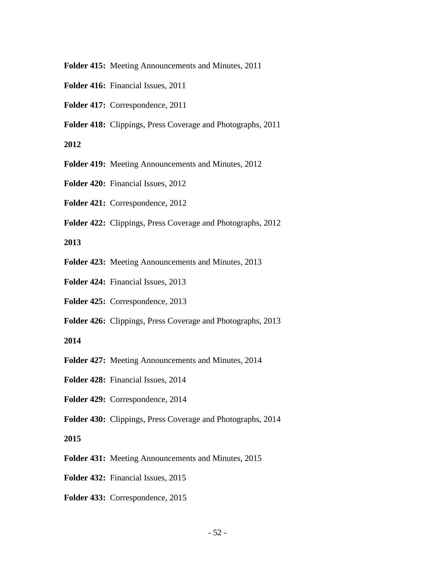**Folder 415:** Meeting Announcements and Minutes, 2011

- **Folder 416:** Financial Issues, 2011
- **Folder 417:** Correspondence, 2011
- **Folder 418:** Clippings, Press Coverage and Photographs, 2011

### **2012**

- **Folder 419:** Meeting Announcements and Minutes, 2012
- **Folder 420:** Financial Issues, 2012
- **Folder 421:** Correspondence, 2012
- **Folder 422:** Clippings, Press Coverage and Photographs, 2012

#### **2013**

- **Folder 423:** Meeting Announcements and Minutes, 2013
- **Folder 424:** Financial Issues, 2013
- **Folder 425:** Correspondence, 2013
- **Folder 426:** Clippings, Press Coverage and Photographs, 2013

#### **2014**

- **Folder 427:** Meeting Announcements and Minutes, 2014
- **Folder 428:** Financial Issues, 2014
- **Folder 429:** Correspondence, 2014
- **Folder 430:** Clippings, Press Coverage and Photographs, 2014

## **2015**

- **Folder 431:** Meeting Announcements and Minutes, 2015
- **Folder 432:** Financial Issues, 2015
- **Folder 433:** Correspondence, 2015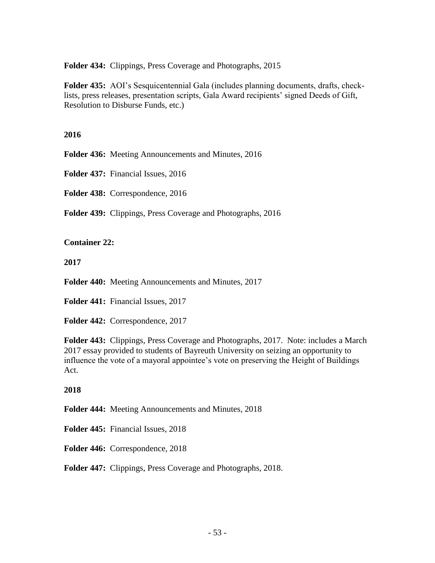**Folder 434:** Clippings, Press Coverage and Photographs, 2015

**Folder 435:** AOI's Sesquicentennial Gala (includes planning documents, drafts, checklists, press releases, presentation scripts, Gala Award recipients' signed Deeds of Gift, Resolution to Disburse Funds, etc.)

## **2016**

**Folder 436:** Meeting Announcements and Minutes, 2016

**Folder 437:** Financial Issues, 2016

**Folder 438:** Correspondence, 2016

**Folder 439:** Clippings, Press Coverage and Photographs, 2016

**Container 22:**

**2017**

**Folder 440:** Meeting Announcements and Minutes, 2017

**Folder 441:** Financial Issues, 2017

**Folder 442:** Correspondence, 2017

**Folder 443:** Clippings, Press Coverage and Photographs, 2017. Note: includes a March 2017 essay provided to students of Bayreuth University on seizing an opportunity to influence the vote of a mayoral appointee's vote on preserving the Height of Buildings Act.

# **2018**

**Folder 444:** Meeting Announcements and Minutes, 2018

**Folder 445:** Financial Issues, 2018

**Folder 446:** Correspondence, 2018

**Folder 447:** Clippings, Press Coverage and Photographs, 2018.